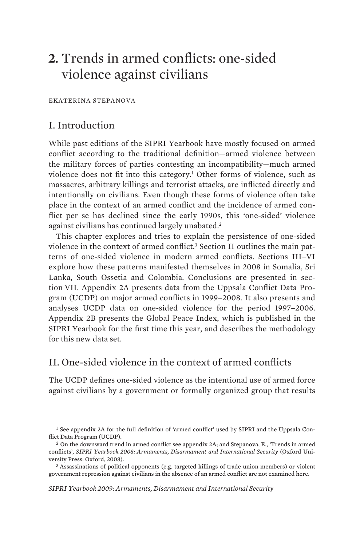# **2.** Trends in armed conflicts: one-sided violence against civilians

EKATERINA STEPANOVA

# I. Introduction

While past editions of the SIPRI Yearbook have mostly focused on armed conflict according to the traditional definition—armed violence between the military forces of parties contesting an incompatibility—much armed violence does not fit into this category.1 Other forms of violence, such as massacres, arbitrary killings and terrorist attacks, are inflicted directly and intentionally on civilians. Even though these forms of violence often take place in the context of an armed conflict and the incidence of armed conflict per se has declined since the early 1990s, this 'one-sided' violence against civilians has continued largely unabated. $^2$ 

This chapter explores and tries to explain the persistence of one-sided violence in the context of armed conflict.3 Section II outlines the main patterns of one-sided violence in modern armed conflicts. Sections III–VI explore how these patterns manifested themselves in 2008 in Somalia, Sri Lanka, South Ossetia and Colombia. Conclusions are presented in section VII. Appendix 2A presents data from the Uppsala Conflict Data Program (UCDP) on major armed conflicts in 1999–2008. It also presents and analyses UCDP data on one-sided violence for the period 1997–2006. Appendix 2B presents the Global Peace Index, which is published in the SIPRI Yearbook for the first time this year, and describes the methodology for this new data set.

# II. One-sided violence in the context of armed conflicts

The UCDP defines one-sided violence as the intentional use of armed force against civilians by a government or formally organized group that results

government repression against civilians in the absence of an armed conflict are not examined here.

*SIPRI Yearbook 2009: Armaments, Disarmament and International Security* 

<sup>1</sup> See appendix 2A for the full definition of 'armed conflict' used by SIPRI and the Uppsala Conflict Data Program (UCDP).<br><sup>2</sup> On the downward trend in armed conflict see appendix 2A; and Stepanova, E., 'Trends in armed

conflicts', *SIPRI Yearbook 2008: Armaments, Disarmament and International Security* (Oxford University Press: Oxford, 2008).<br><sup>3</sup> Assassinations of political opponents (e.g. targeted killings of trade union members) or violent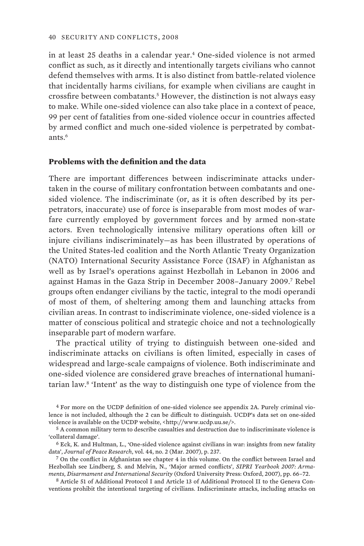in at least 25 deaths in a calendar year.4 One-sided violence is not armed conflict as such, as it directly and intentionally targets civilians who cannot defend themselves with arms. It is also distinct from battle-related violence that incidentally harms civilians, for example when civilians are caught in crossfire between combatants.5 However, the distinction is not always easy to make. While one-sided violence can also take place in a context of peace, 99 per cent of fatalities from one-sided violence occur in countries affected by armed conflict and much one-sided violence is perpetrated by combatants $6$ 

#### **Problems with the definition and the data**

There are important differences between indiscriminate attacks undertaken in the course of military confrontation between combatants and onesided violence. The indiscriminate (or, as it is often described by its perpetrators, inaccurate) use of force is inseparable from most modes of warfare currently employed by government forces and by armed non-state actors. Even technologically intensive military operations often kill or injure civilians indiscriminately—as has been illustrated by operations of the United States-led coalition and the North Atlantic Treaty Organization (NATO) International Security Assistance Force (ISAF) in Afghanistan as well as by Israel's operations against Hezbollah in Lebanon in 2006 and against Hamas in the Gaza Strip in December 2008–January 2009.7 Rebel groups often endanger civilians by the tactic, integral to the modi operandi of most of them, of sheltering among them and launching attacks from civilian areas. In contrast to indiscriminate violence, one-sided violence is a matter of conscious political and strategic choice and not a technologically inseparable part of modern warfare.

The practical utility of trying to distinguish between one-sided and indiscriminate attacks on civilians is often limited, especially in cases of widespread and large-scale campaigns of violence. Both indiscriminate and one-sided violence are considered grave breaches of international humanitarian law.8 'Intent' as the way to distinguish one type of violence from the

4 For more on the UCDP definition of one-sided violence see appendix 2A. Purely criminal violence is not included, although the 2 can be difficult to distinguish. UCDP's data set on one-sided<br>violence is available on the UCDP website, <http://www.ucdp.uu.se/>.

'collateral damage'.<br><sup>6</sup> Eck, K. and Hultman, L., 'One-sided violence against civilians in war: insights from new fatality data', Journal of Peace Research, vol. 44, no. 2 (Mar. 2007), p. 237.

<sup>7</sup> On the conflict in Afghanistan see chapter 4 in this volume. On the conflict between Israel and Hezbollah see Lindberg, S. and Melvin, N., 'Major armed conflicts', *SIPRI Yearbook 2007: Armaments, Disarmament and International Security* (Oxford University Press: Oxford, 2007), pp. 66–72. 8 Article 51 of Additional Protocol I and Article 13 of Additional Protocol II to the Geneva Con-

ventions prohibit the intentional targeting of civilians. Indiscriminate attacks, including attacks on

 $5$  A common military term to describe casualties and destruction due to indiscriminate violence is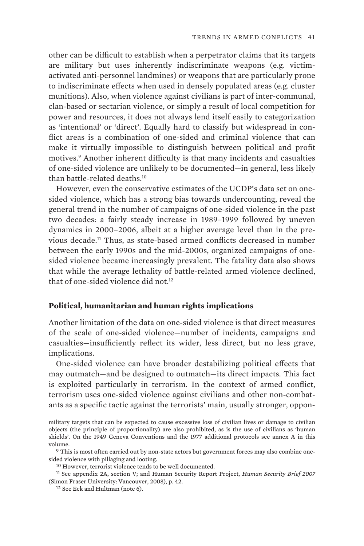other can be difficult to establish when a perpetrator claims that its targets are military but uses inherently indiscriminate weapons (e.g. victimactivated anti-personnel landmines) or weapons that are particularly prone to indiscriminate effects when used in densely populated areas (e.g. cluster munitions). Also, when violence against civilians is part of inter-communal, clan-based or sectarian violence, or simply a result of local competition for power and resources, it does not always lend itself easily to categorization as 'intentional' or 'direct'. Equally hard to classify but widespread in conflict areas is a combination of one-sided and criminal violence that can make it virtually impossible to distinguish between political and profit motives.9 Another inherent difficulty is that many incidents and casualties of one-sided violence are unlikely to be documented—in general, less likely than battle-related deaths.10

However, even the conservative estimates of the UCDP's data set on onesided violence, which has a strong bias towards undercounting, reveal the general trend in the number of campaigns of one-sided violence in the past two decades: a fairly steady increase in 1989–1999 followed by uneven dynamics in 2000–2006, albeit at a higher average level than in the previous decade.11 Thus, as state-based armed conflicts decreased in number between the early 1990s and the mid-2000s, organized campaigns of onesided violence became increasingly prevalent. The fatality data also shows that while the average lethality of battle-related armed violence declined, that of one-sided violence did not.<sup>12</sup>

#### **Political, humanitarian and human rights implications**

Another limitation of the data on one-sided violence is that direct measures of the scale of one-sided violence—number of incidents, campaigns and casualties—insufficiently reflect its wider, less direct, but no less grave, implications.

One-sided violence can have broader destabilizing political effects that may outmatch—and be designed to outmatch—its direct impacts. This fact is exploited particularly in terrorism. In the context of armed conflict, terrorism uses one-sided violence against civilians and other non-combatants as a specific tactic against the terrorists' main, usually stronger, oppon-

military targets that can be expected to cause excessive loss of civilian lives or damage to civilian objects (the principle of proportionality) are also prohibited, as is the use of civilians as 'human shields'. On the 1949 Geneva Conventions and the 1977 additional protocols see annex A in this volume. 9 This is most often carried out by non-state actors but government forces may also combine one-

sided violence with pillaging and looting. 10 However, terrorist violence tends to be well documented. 11 See appendix 2A, section V; and Human Security Report Project, *Human Security Brief 2007*

<sup>(</sup>Simon Fraser University: Vancouver, 2008), p. 42.<br><sup>12</sup> See Eck and Hultman (note 6).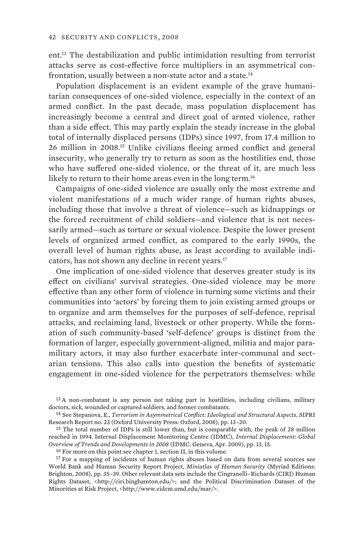ent.13 The destabilization and public intimidation resulting from terrorist attacks serve as cost-effective force multipliers in an asymmetrical confrontation, usually between a non-state actor and a state.<sup>14</sup>

Population displacement is an evident example of the grave humanitarian consequences of one-sided violence, especially in the context of an armed conflict. In the past decade, mass population displacement has increasingly become a central and direct goal of armed violence, rather than a side effect. This may partly explain the steady increase in the global total of internally displaced persons (IDPs) since 1997, from 17.4 million to 26 million in 2008.15 Unlike civilians fleeing armed conflict and general insecurity, who generally try to return as soon as the hostilities end, those who have suffered one-sided violence, or the threat of it, are much less likely to return to their home areas even in the long term.<sup>16</sup>

Campaigns of one-sided violence are usually only the most extreme and violent manifestations of a much wider range of human rights abuses, including those that involve a threat of violence—such as kidnappings or the forced recruitment of child soldiers—and violence that is not necessarily armed—such as torture or sexual violence. Despite the lower present levels of organized armed conflict, as compared to the early 1990s, the overall level of human rights abuse, as least according to available indicators, has not shown any decline in recent years.17

One implication of one-sided violence that deserves greater study is its effect on civilians' survival strategies. One-sided violence may be more effective than any other form of violence in turning some victims and their communities into 'actors' by forcing them to join existing armed groups or to organize and arm themselves for the purposes of self-defence, reprisal attacks, and reclaiming land, livestock or other property. While the formation of such community-based 'self-defence' groups is distinct from the formation of larger, especially government-aligned, militia and major paramilitary actors, it may also further exacerbate inter-communal and sectarian tensions. This also calls into question the benefits of systematic engagement in one-sided violence for the perpetrators themselves: while

 $13$  A non-combatant is any person not taking part in hostilities, including civilians, military doctors, sick, wounded or captured soldiers, and former combatants.

<sup>&</sup>lt;sup>14</sup> See Stepanova, E., *Terrorism in Asymmetrical Conflict: Ideological and Structural Aspects*, SIPRI Research Report no. 23 (Oxford University Press: Oxford, 2008), pp. 13–20.

<sup>&</sup>lt;sup>15</sup> The total number of IDPs is still lower than, but is comparable with, the peak of 28 million reached in 1994. Internal Displacement Monitoring Centre (IDMC), *Internal Displacement: Global*  Overview of Trends and Developments in 2008 (IDMC: Geneva, Apr. 2009), pp. 13, 15.<br><sup>16</sup> For more on this point see chapter 1, section II, in this volume.<br><sup>17</sup> For a mapping of incidents of human rights abuses based on data

World Bank and Human Security Report Project, *Miniatlas of Human Security* (Myriad Editions: Brighton, 2008), pp. 35–39. Other relevant data sets include the Cingranelli–Richards (CIRI) Human Rights Dataset, <http://ciri.binghamton.edu/>; and the Political Discrimination Dataset of the Minorities at Risk Project, <http://www.cidcm.umd.edu/mar/>.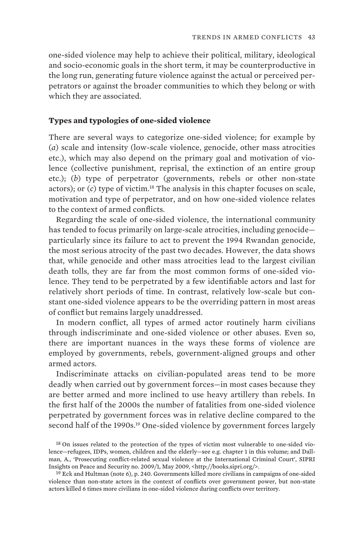one-sided violence may help to achieve their political, military, ideological and socio-economic goals in the short term, it may be counterproductive in the long run, generating future violence against the actual or perceived perpetrators or against the broader communities to which they belong or with which they are associated.

#### **Types and typologies of one-sided violence**

There are several ways to categorize one-sided violence; for example by (*a*) scale and intensity (low-scale violence, genocide, other mass atrocities etc.), which may also depend on the primary goal and motivation of violence (collective punishment, reprisal, the extinction of an entire group etc.); (*b*) type of perpetrator (governments, rebels or other non-state actors); or (*c*) type of victim.18 The analysis in this chapter focuses on scale, motivation and type of perpetrator, and on how one-sided violence relates to the context of armed conflicts.

Regarding the scale of one-sided violence, the international community has tended to focus primarily on large-scale atrocities, including genocide particularly since its failure to act to prevent the 1994 Rwandan genocide, the most serious atrocity of the past two decades. However, the data shows that, while genocide and other mass atrocities lead to the largest civilian death tolls, they are far from the most common forms of one-sided violence. They tend to be perpetrated by a few identifiable actors and last for relatively short periods of time. In contrast, relatively low-scale but constant one-sided violence appears to be the overriding pattern in most areas of conflict but remains largely unaddressed.

In modern conflict, all types of armed actor routinely harm civilians through indiscriminate and one-sided violence or other abuses. Even so, there are important nuances in the ways these forms of violence are employed by governments, rebels, government-aligned groups and other armed actors.

Indiscriminate attacks on civilian-populated areas tend to be more deadly when carried out by government forces—in most cases because they are better armed and more inclined to use heavy artillery than rebels. In the first half of the 2000s the number of fatalities from one-sided violence perpetrated by government forces was in relative decline compared to the second half of the 1990s.<sup>19</sup> One-sided violence by government forces largely

<sup>&</sup>lt;sup>18</sup> On issues related to the protection of the types of victim most vulnerable to one-sided violence—refugees, IDPs, women, children and the elderly—see e.g. chapter 1 in this volume; and Dallman, A., 'Prosecuting conflict-related sexual violence at the International Criminal Court', SIPRI<br>Insights on Peace and Security no. 2009/1, May 2009, <http://books.sipri.org/>.

 $19$  Eck and Hultman (note 6), p. 240. Governments killed more civilians in campaigns of one-sided violence than non-state actors in the context of conflicts over government power, but non-state actors killed 6 times more civilians in one-sided violence during conflicts over territory.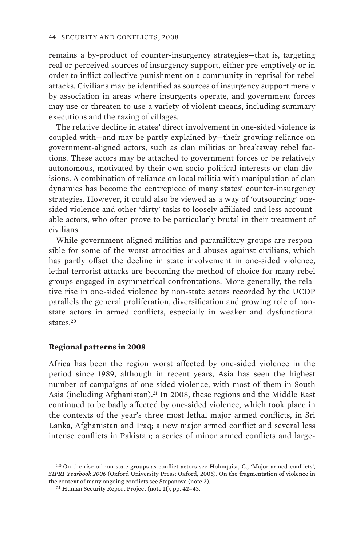remains a by-product of counter-insurgency strategies—that is, targeting real or perceived sources of insurgency support, either pre-emptively or in order to inflict collective punishment on a community in reprisal for rebel attacks. Civilians may be identified as sources of insurgency support merely by association in areas where insurgents operate, and government forces may use or threaten to use a variety of violent means, including summary executions and the razing of villages.

The relative decline in states' direct involvement in one-sided violence is coupled with—and may be partly explained by—their growing reliance on government-aligned actors, such as clan militias or breakaway rebel factions. These actors may be attached to government forces or be relatively autonomous, motivated by their own socio-political interests or clan divisions. A combination of reliance on local militia with manipulation of clan dynamics has become the centrepiece of many states' counter-insurgency strategies. However, it could also be viewed as a way of 'outsourcing' onesided violence and other 'dirty' tasks to loosely affiliated and less accountable actors, who often prove to be particularly brutal in their treatment of civilians.

While government-aligned militias and paramilitary groups are responsible for some of the worst atrocities and abuses against civilians, which has partly offset the decline in state involvement in one-sided violence, lethal terrorist attacks are becoming the method of choice for many rebel groups engaged in asymmetrical confrontations. More generally, the relative rise in one-sided violence by non-state actors recorded by the UCDP parallels the general proliferation, diversification and growing role of nonstate actors in armed conflicts, especially in weaker and dysfunctional states.20

#### **Regional patterns in 2008**

Africa has been the region worst affected by one-sided violence in the period since 1989, although in recent years, Asia has seen the highest number of campaigns of one-sided violence, with most of them in South Asia (including Afghanistan).<sup>21</sup> In 2008, these regions and the Middle East continued to be badly affected by one-sided violence, which took place in the contexts of the year's three most lethal major armed conflicts, in Sri Lanka, Afghanistan and Iraq; a new major armed conflict and several less intense conflicts in Pakistan; a series of minor armed conflicts and large-

<sup>20</sup> On the rise of non-state groups as conflict actors see Holmquist, C., 'Major armed conflicts', *SIPRI Yearbook 2006* (Oxford University Press: Oxford, 2006). On the fragmentation of violence in the context of many ongoing conflicts see Stepanova (note 2).<br><sup>21</sup> Human Security Report Project (note 11), pp. 42–43.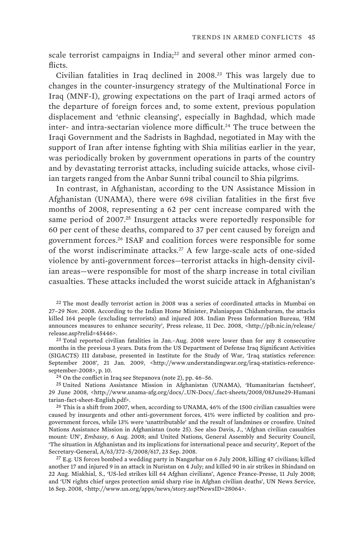scale terrorist campaigns in India;<sup>22</sup> and several other minor armed conflicts.

Civilian fatalities in Iraq declined in 2008.23 This was largely due to changes in the counter-insurgency strategy of the Multinational Force in Iraq (MNF-I), growing expectations on the part of Iraqi armed actors of the departure of foreign forces and, to some extent, previous population displacement and 'ethnic cleansing', especially in Baghdad, which made inter- and intra-sectarian violence more difficult.<sup>24</sup> The truce between the Iraqi Government and the Sadrists in Baghdad, negotiated in May with the support of Iran after intense fighting with Shia militias earlier in the year, was periodically broken by government operations in parts of the country and by devastating terrorist attacks, including suicide attacks, whose civilian targets ranged from the Anbar Sunni tribal council to Shia pilgrims.

In contrast, in Afghanistan, according to the UN Assistance Mission in Afghanistan (UNAMA), there were 698 civilian fatalities in the first five months of 2008, representing a 62 per cent increase compared with the same period of 2007.<sup>25</sup> Insurgent attacks were reportedly responsible for 60 per cent of these deaths, compared to 37 per cent caused by foreign and government forces.26 ISAF and coalition forces were responsible for some of the worst indiscriminate attacks.27 A few large-scale acts of one-sided violence by anti-government forces—terrorist attacks in high-density civilian areas—were responsible for most of the sharp increase in total civilian casualties. These attacks included the worst suicide attack in Afghanistan's

22 The most deadly terrorist action in 2008 was a series of coordinated attacks in Mumbai on 27–29 Nov. 2008. According to the Indian Home Minister, Palaniappan Chidambaram, the attacks killed 164 people (excluding terrorists) and injured 308. Indian Press Information Bureau, 'HM announces measures to enhance security', Press release, 11 Dec. 2008, <http://pib.nic.in/release/ release.asp?relid=45446>.

23 Total reported civilian fatalities in Jan.–Aug. 2008 were lower than for any 8 consecutive months in the previous 3 years. Data from the US Department of Defense Iraq Significant Activities (SIGACTS) III database, presented in Institute for the Study of War, 'Iraq statistics reference: September 2008', 21 Jan. 2009, <http://www.understandingwar.org/iraq-statistics-reference-september-2008>, p. 10.

 $24$  On the conflict in Iraq see Stepanova (note 2), pp. 46–56.

25 United Nations Assistance Mission in Afghanistan (UNAMA), 'Humanitarian factsheet', 29 June 2008, <http://www.unama-afg.org/docs/\_UN-Docs/\_fact-sheets/2008/08June29-Humani tarian-fact-sheet-English.pdf>. 26 This is a shift from 2007, when, according to UNAMA, 46% of the 1500 civilian casualties were

caused by insurgents and other anti-government forces, 41% were inflicted by coalition and progovernment forces, while 13% were 'unattributable' and the result of landmines or crossfire. United Nations Assistance Mission in Afghanistan (note 25). See also Davis, J., 'Afghan civilian casualties mount: UN', *Embassy*, 6 Aug. 2008; and United Nations, General Assembly and Security Council, 'The situation in Afghanistan and its implications for international peace and security', Report of the

<sup>27</sup> E.g. US forces bombed a wedding party in Nangarhar on 6 July 2008, killing 47 civilians; killed another 17 and injured 9 in an attack in Nuristan on 4 July; and killed 90 in air strikes in Shindand on 22 Aug. Miakhial, S., 'US-led strikes kill 64 Afghan civilians', Agence France-Presse, 11 July 2008; and 'UN rights chief urges protection amid sharp rise in Afghan civilian deaths', UN News Service, 16 Sep. 2008, <http://www.un.org/apps/news/story.asp?NewsID=28064>.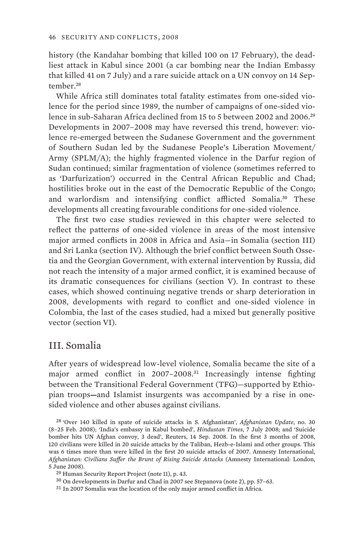history (the Kandahar bombing that killed 100 on 17 February), the deadliest attack in Kabul since 2001 (a car bombing near the Indian Embassy that killed 41 on 7 July) and a rare suicide attack on a UN convoy on 14 September.<sup>28</sup>

While Africa still dominates total fatality estimates from one-sided violence for the period since 1989, the number of campaigns of one-sided violence in sub-Saharan Africa declined from 15 to 5 between 2002 and 2006.<sup>29</sup> Developments in 2007–2008 may have reversed this trend, however: violence re-emerged between the Sudanese Government and the government of Southern Sudan led by the Sudanese People's Liberation Movement/ Army (SPLM/A); the highly fragmented violence in the Darfur region of Sudan continued; similar fragmentation of violence (sometimes referred to as 'Darfurization') occurred in the Central African Republic and Chad; hostilities broke out in the east of the Democratic Republic of the Congo; and warlordism and intensifying conflict afflicted Somalia.<sup>30</sup> These developments all creating favourable conditions for one-sided violence.

The first two case studies reviewed in this chapter were selected to reflect the patterns of one-sided violence in areas of the most intensive major armed conflicts in 2008 in Africa and Asia—in Somalia (section III) and Sri Lanka (section IV). Although the brief conflict between South Ossetia and the Georgian Government, with external intervention by Russia, did not reach the intensity of a major armed conflict, it is examined because of its dramatic consequences for civilians (section V). In contrast to these cases, which showed continuing negative trends or sharp deterioration in 2008, developments with regard to conflict and one-sided violence in Colombia, the last of the cases studied, had a mixed but generally positive vector (section VI).

# III. Somalia

After years of widespread low-level violence, Somalia became the site of a major armed conflict in 2007–2008.<sup>31</sup> Increasingly intense fighting between the Transitional Federal Government (TFG)—supported by Ethiopian troops—and Islamist insurgents was accompanied by a rise in onesided violence and other abuses against civilians.

28 'Over 140 killed in spate of suicide attacks in S. Afghanistan', *Afghanistan Update*, no. 30 (8–25 Feb. 2008); 'India's embassy in Kabul bombed', *Hindustan Times*, 7 July 2008; and 'Suicide bomber hits UN Afghan convoy, 3 dead', Reuters, 14 Sep. 2008. In the first 3 months of 2008, 120 civilians were killed in 20 suicide attacks by the Taliban, Hezb-e-Islami and other groups. This was 6 times more than were killed in the first 20 suicide attacks of 2007. Amnesty International, *Afghanistan: Civilians Suffer the Brunt of Rising Suicide Attacks* (Amnesty International: London, 5 June 2008).

<sup>29</sup> Human Security Report Project (note 11), p. 43.

<sup>30</sup> On developments in Darfur and Chad in 2007 see Stepanova (note 2), pp. 57–63.

<sup>31</sup> In 2007 Somalia was the location of the only major armed conflict in Africa.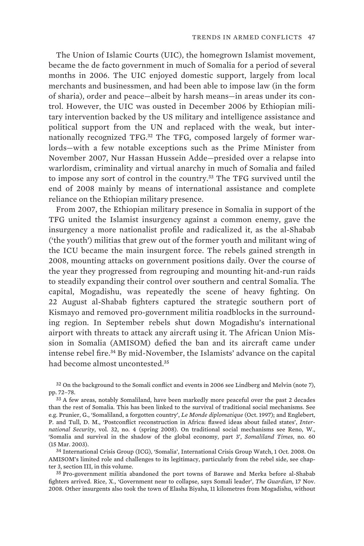The Union of Islamic Courts (UIC), the homegrown Islamist movement, became the de facto government in much of Somalia for a period of several months in 2006. The UIC enjoyed domestic support, largely from local merchants and businessmen, and had been able to impose law (in the form of sharia), order and peace—albeit by harsh means—in areas under its control. However, the UIC was ousted in December 2006 by Ethiopian military intervention backed by the US military and intelligence assistance and political support from the UN and replaced with the weak, but internationally recognized TFG.<sup>32</sup> The TFG, composed largely of former warlords—with a few notable exceptions such as the Prime Minister from November 2007, Nur Hassan Hussein Adde—presided over a relapse into warlordism, criminality and virtual anarchy in much of Somalia and failed to impose any sort of control in the country.<sup>33</sup> The TFG survived until the end of 2008 mainly by means of international assistance and complete reliance on the Ethiopian military presence.

From 2007, the Ethiopian military presence in Somalia in support of the TFG united the Islamist insurgency against a common enemy, gave the insurgency a more nationalist profile and radicalized it, as the al-Shabab ('the youth') militias that grew out of the former youth and militant wing of the ICU became the main insurgent force. The rebels gained strength in 2008, mounting attacks on government positions daily. Over the course of the year they progressed from regrouping and mounting hit-and-run raids to steadily expanding their control over southern and central Somalia. The capital, Mogadishu, was repeatedly the scene of heavy fighting. On 22 August al-Shabab fighters captured the strategic southern port of Kismayo and removed pro-government militia roadblocks in the surrounding region. In September rebels shut down Mogadishu's international airport with threats to attack any aircraft using it. The African Union Mission in Somalia (AMISOM) defied the ban and its aircraft came under intense rebel fire.<sup>34</sup> By mid-November, the Islamists' advance on the capital had become almost uncontested.<sup>35</sup>

34 International Crisis Group (ICG), 'Somalia', International Crisis Group Watch, 1 Oct. 2008. On AMISOM's limited role and challenges to its legitimacy, particularly from the rebel side, see chapter 3, section III, in this volume.

35 Pro-government militia abandoned the port towns of Barawe and Merka before al-Shabab fighters arrived. Rice, X., 'Government near to collapse, says Somali leader', *The Guardian*, 17 Nov. 2008. Other insurgents also took the town of Elasha Biyaha, 11 kilometres from Mogadishu, without

<sup>32</sup> On the background to the Somali conflict and events in 2006 see Lindberg and Melvin (note 7), pp. 72–78.

<sup>33</sup> A few areas, notably Somaliland, have been markedly more peaceful over the past 2 decades than the rest of Somalia. This has been linked to the survival of traditional social mechanisms. See e.g. Prunier, G., 'Somaliland, a forgotten country', *Le Monde diplomatique* (Oct. 1997); and Englebert, P. and Tull, D. M., 'Postconflict reconstruction in Africa: flawed ideas about failed states', *International Security*, vol. 32, no. 4 (spring 2008). On traditional social mechanisms see Reno, W., 'Somalia and survival in the shadow of the global economy, part 3', *Somaliland Times*, no. 60 (15 Mar. 2003).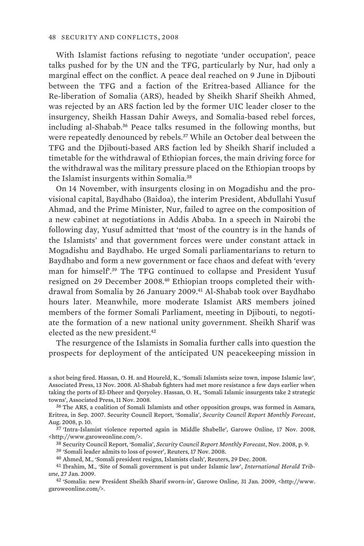With Islamist factions refusing to negotiate 'under occupation', peace talks pushed for by the UN and the TFG, particularly by Nur, had only a marginal effect on the conflict. A peace deal reached on 9 June in Djibouti between the TFG and a faction of the Eritrea-based Alliance for the Re-liberation of Somalia (ARS), headed by Sheikh Sharif Sheikh Ahmed, was rejected by an ARS faction led by the former UIC leader closer to the insurgency, Sheikh Hassan Dahir Aweys, and Somalia-based rebel forces, including al-Shabab.<sup>36</sup> Peace talks resumed in the following months, but were repeatedly denounced by rebels.<sup>37</sup> While an October deal between the TFG and the Djibouti-based ARS faction led by Sheikh Sharif included a timetable for the withdrawal of Ethiopian forces, the main driving force for the withdrawal was the military pressure placed on the Ethiopian troops by the Islamist insurgents within Somalia.<sup>38</sup>

On 14 November, with insurgents closing in on Mogadishu and the provisional capital, Baydhabo (Baidoa), the interim President, Abdullahi Yusuf Ahmad, and the Prime Minister, Nur, failed to agree on the composition of a new cabinet at negotiations in Addis Ababa. In a speech in Nairobi the following day, Yusuf admitted that 'most of the country is in the hands of the Islamists' and that government forces were under constant attack in Mogadishu and Baydhabo. He urged Somali parliamentarians to return to Baydhabo and form a new government or face chaos and defeat with 'every man for himself'.<sup>39</sup> The TFG continued to collapse and President Yusuf resigned on 29 December 2008.<sup>40</sup> Ethiopian troops completed their withdrawal from Somalia by 26 January 2009.<sup>41</sup> Al-Shabab took over Baydhabo hours later. Meanwhile, more moderate Islamist ARS members joined members of the former Somali Parliament, meeting in Djibouti, to negotiate the formation of a new national unity government. Sheikh Sharif was elected as the new president.<sup>42</sup>

The resurgence of the Islamists in Somalia further calls into question the prospects for deployment of the anticipated UN peacekeeping mission in

36 The ARS, a coalition of Somali Islamists and other opposition groups, was formed in Asmara, Eritrea, in Sep. 2007. Security Council Report, 'Somalia', *Security Council Report Monthly Forecast*, Aug. 2008, p. 10.

37 'Intra-Islamist violence reported again in Middle Shabelle', Garowe Online, 17 Nov. 2008, <http://www.garoweonline.com/>.

38 Security Council Report, 'Somalia', *Security Council Report Monthly Forecast*, Nov. 2008, p. 9.

39 'Somali leader admits to loss of power', Reuters, 17 Nov. 2008.

40 Ahmed, M., 'Somali president resigns, Islamists clash', Reuters, 29 Dec. 2008.

41 Ibrahim, M., 'Site of Somali government is put under Islamic law', *International Herald Tribune,* 27 Jan. 2009.

42 'Somalia: new President Sheikh Sharif sworn-in', Garowe Online, 31 Jan. 2009, <http://www. garoweonline.com/>.

a shot being fired. Hassan, O. H. and Houreld, K., 'Somali Islamists seize town, impose Islamic law', Associated Press, 13 Nov. 2008. Al-Shabab fighters had met more resistance a few days earlier when taking the ports of El-Dheer and Qoryoley. Hassan, O. H., 'Somali Islamic insurgents take 2 strategic towns', Associated Press, 11 Nov. 2008.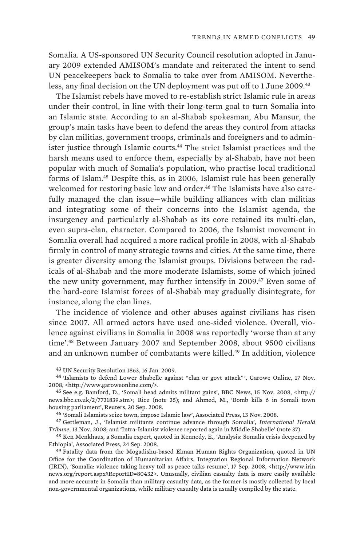Somalia. A US-sponsored UN Security Council resolution adopted in January 2009 extended AMISOM's mandate and reiterated the intent to send UN peacekeepers back to Somalia to take over from AMISOM. Nevertheless, any final decision on the UN deployment was put off to 1 June 2009.<sup>43</sup>

The Islamist rebels have moved to re-establish strict Islamic rule in areas under their control, in line with their long-term goal to turn Somalia into an Islamic state. According to an al-Shabab spokesman, Abu Mansur, the group's main tasks have been to defend the areas they control from attacks by clan militias, government troops, criminals and foreigners and to administer justice through Islamic courts.<sup>44</sup> The strict Islamist practices and the harsh means used to enforce them, especially by al-Shabab, have not been popular with much of Somalia's population, who practise local traditional forms of Islam.<sup>45</sup> Despite this, as in 2006, Islamist rule has been generally welcomed for restoring basic law and order.<sup>46</sup> The Islamists have also carefully managed the clan issue—while building alliances with clan militias and integrating some of their concerns into the Islamist agenda, the insurgency and particularly al-Shabab as its core retained its multi-clan, even supra-clan, character. Compared to 2006, the Islamist movement in Somalia overall had acquired a more radical profile in 2008, with al-Shabab firmly in control of many strategic towns and cities. At the same time, there is greater diversity among the Islamist groups. Divisions between the radicals of al-Shabab and the more moderate Islamists, some of which joined the new unity government, may further intensify in 2009.<sup>47</sup> Even some of the hard-core Islamist forces of al-Shabab may gradually disintegrate, for instance, along the clan lines.

The incidence of violence and other abuses against civilians has risen since 2007. All armed actors have used one-sided violence. Overall, violence against civilians in Somalia in 2008 was reportedly 'worse than at any time'.<sup>48</sup> Between January 2007 and September 2008, about 9500 civilians and an unknown number of combatants were killed.<sup>49</sup> In addition, violence

43 UN Security Resolution 1863, 16 Jan. 2009.

46 'Somali Islamists seize town, impose Islamic law', Associated Press, 13 Nov. 2008.

47 Gettleman, J., 'Islamist militants continue advance through Somalia', *International Herald Tribune*, 13 Nov. 2008; and 'Intra-Islamist violence reported again in Middle Shabelle' (note 37).

48 Ken Menkhaus, a Somalia expert, quoted in Kennedy, E., 'Analysis: Somalia crisis deepened by Ethiopia', Associated Press, 24 Sep. 2008.

49 Fatality data from the Mogadishu-based Elman Human Rights Organization, quoted in UN Office for the Coordination of Humanitarian Affairs, Integration Regional Information Network (IRIN), 'Somalia: violence taking heavy toll as peace talks resume', 17 Sep. 2008, <http://www.irin news.org/report.aspx?ReportID=80432>. Unusually, civilian casualty data is more easily available and more accurate in Somalia than military casualty data, as the former is mostly collected by local non-governmental organizations, while military casualty data is usually compiled by the state.

<sup>44</sup> 'Islamists to defend Lower Shabelle against "clan or govt attack" ', Garowe Online, 17 Nov. 2008, <http://www.garoweonline.com/>.

<sup>45</sup> See e.g. Bamford, D., 'Somali head admits militant gains', BBC News, 15 Nov. 2008, <http:// news.bbc.co.uk/2/7731839.stm>; Rice (note 35); and Ahmed, M., 'Bomb kills 6 in Somali town housing parliament', Reuters, 30 Sep. 2008.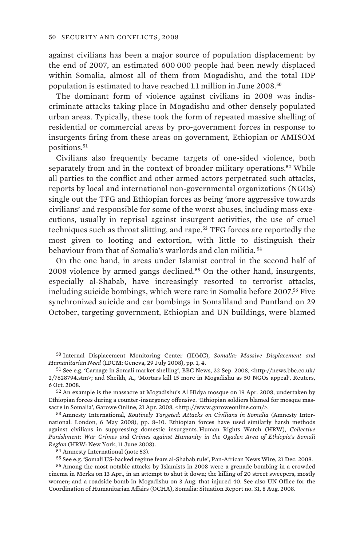against civilians has been a major source of population displacement: by the end of 2007, an estimated 600 000 people had been newly displaced within Somalia, almost all of them from Mogadishu, and the total IDP population is estimated to have reached 1.1 million in June 2008.<sup>50</sup>

The dominant form of violence against civilians in 2008 was indiscriminate attacks taking place in Mogadishu and other densely populated urban areas. Typically, these took the form of repeated massive shelling of residential or commercial areas by pro-government forces in response to insurgents firing from these areas on government, Ethiopian or AMISOM positions.<sup>51</sup>

Civilians also frequently became targets of one-sided violence, both separately from and in the context of broader military operations.<sup>52</sup> While all parties to the conflict and other armed actors perpetrated such attacks, reports by local and international non-governmental organizations (NGOs) single out the TFG and Ethiopian forces as being 'more aggressive towards civilians' and responsible for some of the worst abuses, including mass executions, usually in reprisal against insurgent activities, the use of cruel techniques such as throat slitting, and rape.<sup>53</sup> TFG forces are reportedly the most given to looting and extortion, with little to distinguish their behaviour from that of Somalia's warlords and clan militia. <sup>54</sup>

On the one hand, in areas under Islamist control in the second half of 2008 violence by armed gangs declined.<sup>55</sup> On the other hand, insurgents, especially al-Shabab, have increasingly resorted to terrorist attacks, including suicide bombings, which were rare in Somalia before 2007.<sup>56</sup> Five synchronized suicide and car bombings in Somaliland and Puntland on 29 October, targeting government, Ethiopian and UN buildings, were blamed

53 Amnesty International, *Routinely Targeted: Attacks on Civilians in Somalia* (Amnesty International: London, 6 May 2008), pp. 8–10. Ethiopian forces have used similarly harsh methods against civilians in suppressing domestic insurgents. Human Rights Watch (HRW), *Collective Punishment: War Crimes and Crimes against Humanity in the Ogaden Area of Ethiopia's Somali Region* (HRW: New York, 11 June 2008).

54 Amnesty International (note 53).

55 See e.g. 'Somali US-backed regime fears al-Shabab rule', Pan-African News Wire, 21 Dec. 2008.

56 Among the most notable attacks by Islamists in 2008 were a grenade bombing in a crowded cinema in Merka on 13 Apr., in an attempt to shut it down; the killing of 20 street sweepers, mostly women; and a roadside bomb in Mogadishu on 3 Aug. that injured 40. See also UN Office for the Coordination of Humanitarian Affairs (OCHA), Somalia: Situation Report no. 31, 8 Aug. 2008.

<sup>50</sup> Internal Displacement Monitoring Center (IDMC), *Somalia: Massive Displacement and Humanitarian Need* (IDCM: Geneva, 29 July 2008), pp. 1, 4.

<sup>51</sup> See e.g. 'Carnage in Somali market shelling', BBC News, 22 Sep. 2008, <http://news.bbc.co.uk/ 2/7628794.stm>; and Sheikh, A., 'Mortars kill 15 more in Mogadishu as 50 NGOs appeal', Reuters, 6 Oct. 2008.

<sup>52</sup> An example is the massacre at Mogadishu's Al Hidya mosque on 19 Apr. 2008, undertaken by Ethiopian forces during a counter-insurgency offensive. 'Ethiopian soldiers blamed for mosque massacre in Somalia', Garowe Online, 21 Apr. 2008, <http://www.garoweonline.com/>.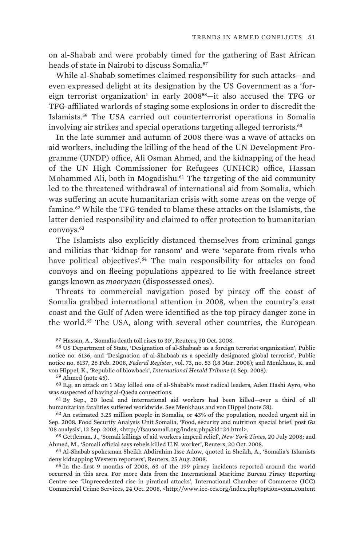on al-Shabab and were probably timed for the gathering of East African heads of state in Nairobi to discuss Somalia.<sup>57</sup>

While al-Shabab sometimes claimed responsibility for such attacks—and even expressed delight at its designation by the US Government as a 'foreign terrorist organization' in early 2008<sup>58</sup>—it also accused the TFG or TFG-affiliated warlords of staging some explosions in order to discredit the Islamists.<sup>59</sup> The USA carried out counterterrorist operations in Somalia involving air strikes and special operations targeting alleged terrorists.<sup>60</sup>

In the late summer and autumn of 2008 there was a wave of attacks on aid workers, including the killing of the head of the UN Development Programme (UNDP) office, Ali Osman Ahmed, and the kidnapping of the head of the UN High Commissioner for Refugees (UNHCR) office, Hassan Mohammed Ali, both in Mogadishu.<sup>61</sup> The targeting of the aid community led to the threatened withdrawal of international aid from Somalia, which was suffering an acute humanitarian crisis with some areas on the verge of famine.<sup>62</sup> While the TFG tended to blame these attacks on the Islamists, the latter denied responsibility and claimed to offer protection to humanitarian convoys.<sup>63</sup>

The Islamists also explicitly distanced themselves from criminal gangs and militias that 'kidnap for ransom' and were 'separate from rivals who have political objectives'.<sup>64</sup> The main responsibility for attacks on food convoys and on fleeing populations appeared to lie with freelance street gangs known as *mooryaan* (dispossessed ones).

Threats to commercial navigation posed by piracy off the coast of Somalia grabbed international attention in 2008, when the country's east coast and the Gulf of Aden were identified as the top piracy danger zone in the world.<sup>65</sup> The USA, along with several other countries, the European

60 E.g. an attack on 1 May killed one of al-Shabab's most radical leaders, Aden Hashi Ayro, who was suspected of having al-Qaeda connections.

61 By Sep., 20 local and international aid workers had been killed—over a third of all humanitarian fatalities suffered worldwide. See Menkhaus and von Hippel (note 58).

62 An estimated 3.25 million people in Somalia, or 43% of the population, needed urgent aid in Sep. 2008. Food Security Analysis Unit Somalia, 'Food, security and nutrition special brief: post *Gu* '08 analysis', 12 Sep. 2008, <http://fsausomali.org/index.php@id=24.html>.

63 Gettleman, J., 'Somali killings of aid workers imperil relief', *New York Times,* 20 July 2008; and Ahmed, M., 'Somali official says rebels killed U.N. worker', Reuters, 20 Oct. 2008.

64 Al-Shabab spokesman Sheikh Abdirahim Isse Adow, quoted in Sheikh, A., 'Somalia's Islamists deny kidnapping Western reporters', Reuters, 25 Aug. 2008.

65 In the first 9 months of 2008, 63 of the 199 piracy incidents reported around the world occurred in this area. For more data from the International Maritime Bureau Piracy Reporting Centre see 'Unprecedented rise in piratical attacks', International Chamber of Commerce (ICC) Commercial Crime Services, 24 Oct. 2008, <http://www.icc-ccs.org/index.php?option=com\_content

<sup>57</sup> Hassan, A., 'Somalia death toll rises to 30', Reuters, 30 Oct. 2008.

<sup>58</sup> US Department of State, 'Designation of al-Shabaab as a foreign terrorist organization', Public notice no. 6136, and 'Designation of al-Shabaab as a specially designated global terrorist', Public notice no. 6137, 26 Feb. 2008, *Federal Register*, vol. 73, no. 53 (18 Mar. 2008); and Menkhaus, K. and von Hippel, K., 'Republic of blowback', *International Herald Tribune* (4 Sep. 2008).

<sup>59</sup> Ahmed (note 45).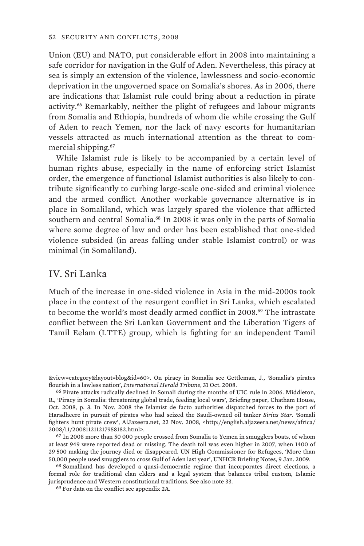Union (EU) and NATO, put considerable effort in 2008 into maintaining a safe corridor for navigation in the Gulf of Aden. Nevertheless, this piracy at sea is simply an extension of the violence, lawlessness and socio-economic deprivation in the ungoverned space on Somalia's shores. As in 2006, there are indications that Islamist rule could bring about a reduction in pirate activity.<sup>66</sup> Remarkably, neither the plight of refugees and labour migrants from Somalia and Ethiopia, hundreds of whom die while crossing the Gulf of Aden to reach Yemen, nor the lack of navy escorts for humanitarian vessels attracted as much international attention as the threat to commercial shipping.<sup>67</sup>

While Islamist rule is likely to be accompanied by a certain level of human rights abuse, especially in the name of enforcing strict Islamist order, the emergence of functional Islamist authorities is also likely to contribute significantly to curbing large-scale one-sided and criminal violence and the armed conflict. Another workable governance alternative is in place in Somaliland, which was largely spared the violence that afflicted southern and central Somalia.<sup>68</sup> In 2008 it was only in the parts of Somalia where some degree of law and order has been established that one-sided violence subsided (in areas falling under stable Islamist control) or was minimal (in Somaliland).

# IV. Sri Lanka

Much of the increase in one-sided violence in Asia in the mid-2000s took place in the context of the resurgent conflict in Sri Lanka, which escalated to become the world's most deadly armed conflict in 2008.<sup>69</sup> The intrastate conflict between the Sri Lankan Government and the Liberation Tigers of Tamil Eelam (LTTE) group, which is fighting for an independent Tamil

<sup>&</sup>amp;view=category&layout=blog&id=60>. On piracy in Somalia see Gettleman, J., 'Somalia's pirates flourish in a lawless nation', *International Herald Tribune*, 31 Oct. 2008.

<sup>66</sup> Pirate attacks radically declined in Somali during the months of UIC rule in 2006. Middleton, R., 'Piracy in Somalia: threatening global trade, feeding local wars', Briefing paper, Chatham House, Oct. 2008, p. 3. In Nov. 2008 the Islamist de facto authorities dispatched forces to the port of Haradheere in pursuit of pirates who had seized the Saudi-owned oil tanker *Sirius Star*. 'Somali fighters hunt pirate crew', AlJazeera.net, 22 Nov. 2008, <http://english.aljazeera.net/news/africa/ 2008/11/200811211217958182.html>.

<sup>67</sup> In 2008 more than 50 000 people crossed from Somalia to Yemen in smugglers boats, of whom at least 949 were reported dead or missing. The death toll was even higher in 2007, when 1400 of 29 500 making the journey died or disappeared. UN High Commissioner for Refugees, 'More than 50,000 people used smugglers to cross Gulf of Aden last year', UNHCR Briefing Notes, 9 Jan. 2009.

<sup>68</sup> Somaliland has developed a quasi-democratic regime that incorporates direct elections, a formal role for traditional clan elders and a legal system that balances tribal custom, Islamic jurisprudence and Western constitutional traditions. See also note 33.

<sup>69</sup> For data on the conflict see appendix 2A.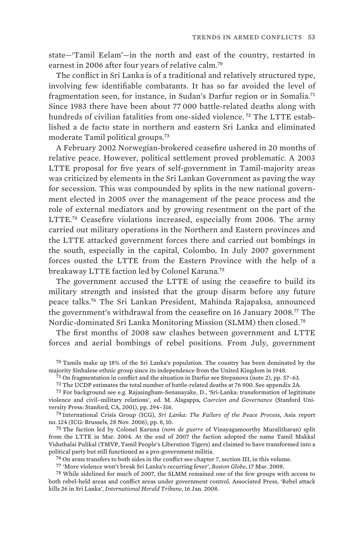state—'Tamil Eelam'—in the north and east of the country, restarted in earnest in 2006 after four years of relative calm.<sup>70</sup>

The conflict in Sri Lanka is of a traditional and relatively structured type, involving few identifiable combatants. It has so far avoided the level of fragmentation seen, for instance, in Sudan's Darfur region or in Somalia.<sup>71</sup> Since 1983 there have been about 77 000 battle-related deaths along with hundreds of civilian fatalities from one-sided violence. <sup>72</sup> The LTTE established a de facto state in northern and eastern Sri Lanka and eliminated moderate Tamil political groups.<sup>73</sup>

A February 2002 Norwegian-brokered ceasefire ushered in 20 months of relative peace. However, political settlement proved problematic. A 2003 LTTE proposal for five years of self-government in Tamil-majority areas was criticized by elements in the Sri Lankan Government as paving the way for secession. This was compounded by splits in the new national government elected in 2005 over the management of the peace process and the role of external mediators and by growing resentment on the part of the LTTE.<sup>74</sup> Ceasefire violations increased, especially from 2006. The army carried out military operations in the Northern and Eastern provinces and the LTTE attacked government forces there and carried out bombings in the south, especially in the capital, Colombo. In July 2007 government forces ousted the LTTE from the Eastern Province with the help of a breakaway LTTE faction led by Colonel Karuna.<sup>75</sup>

The government accused the LTTE of using the ceasefire to build its military strength and insisted that the group disarm before any future peace talks.<sup>76</sup> The Sri Lankan President, Mahinda Rajapaksa, announced the government's withdrawal from the ceasefire on 16 January 2008.<sup>77</sup> The Nordic-dominated Sri Lanka Monitoring Mission (SLMM) then closed.<sup>78</sup>

The first months of 2008 saw clashes between government and LTTE forces and aerial bombings of rebel positions. From July, government

70 Tamils make up 18% of the Sri Lanka's population. The country has been dominated by the majority Sinhalese ethnic group since its independence from the United Kingdom in 1948.

71 On fragmentation in conflict and the situation in Darfur see Stepanova (note 2), pp. 57–63.

72 The UCDP estimates the total number of battle-related deaths at 76 900. See appendix 2A.

73 For background see e.g. Rajasingham-Senanayake, D., 'Sri-Lanka: transformation of legitimate violence and civil–military relations', ed. M. Alagappa, *Coercion and Governance* (Stanford University Press: Stanford, CA, 2001), pp. 294–316.

74 International Crisis Group (ICG), *Sri Lanka: The Failure of the Peace Process*, Asia report no. 124 (ICG: Brussels, 28 Nov. 2006), pp. 8, 10.

75 The faction led by Colonel Karuna (*nom de guerre* of Vinayagamoorthy Muralitharan) split from the LTTE in Mar. 2004. At the end of 2007 the faction adopted the name Tamil Makkal Viduthalai Pulikal (TMVP, Tamil People's Liberation Tigers) and claimed to have transformed into a political party but still functioned as a pro-government militia.

76 On arms transfers to both sides in the conflict see chapter 7, section III, in this volume.

77 'More violence won't break Sri Lanka's recurring fever', *Boston Globe*, 17 Mar. 2008.

78 While sidelined for much of 2007, the SLMM remained one of the few groups with access to both rebel-held areas and conflict areas under government control. Associated Press, 'Rebel attack kills 26 in Sri Lanka', *International Herald Tribune*, 16 Jan. 2008.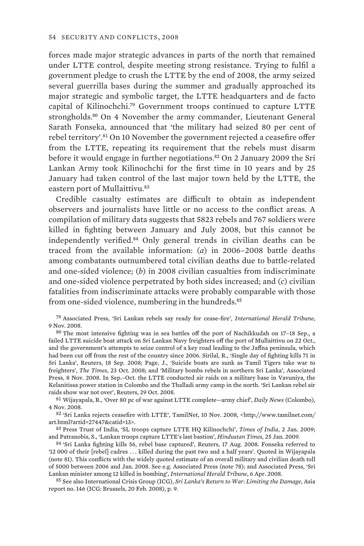forces made major strategic advances in parts of the north that remained under LTTE control, despite meeting strong resistance. Trying to fulfil a government pledge to crush the LTTE by the end of 2008, the army seized several guerrilla bases during the summer and gradually approached its major strategic and symbolic target, the LTTE headquarters and de facto capital of Kilinochchi.<sup>79</sup> Government troops continued to capture LTTE strongholds.<sup>80</sup> On 4 November the army commander, Lieutenant General Sarath Fonseka, announced that 'the military had seized 80 per cent of rebel territory'.<sup>81</sup> On 10 November the government rejected a ceasefire offer from the LTTE, repeating its requirement that the rebels must disarm before it would engage in further negotiations.<sup>82</sup> On 2 January 2009 the Sri Lankan Army took Kilinochchi for the first time in 10 years and by 25 January had taken control of the last major town held by the LTTE, the eastern port of Mullaittivu.<sup>83</sup>

Credible casualty estimates are difficult to obtain as independent observers and journalists have little or no access to the conflict areas. A compilation of military data suggests that 5823 rebels and 767 soldiers were killed in fighting between January and July 2008, but this cannot be independently verified.<sup>84</sup> Only general trends in civilian deaths can be traced from the available information: (*a*) in 2006–2008 battle deaths among combatants outnumbered total civilian deaths due to battle-related and one-sided violence; (*b*) in 2008 civilian casualties from indiscriminate and one-sided violence perpetrated by both sides increased; and (*c*) civilian fatalities from indiscriminate attacks were probably comparable with those from one-sided violence, numbering in the hundreds.<sup>85</sup>

79 Associated Press, 'Sri Lankan rebels say ready for cease-fire', *International Herald Tribune*, 9 Nov. 2008.

80 The most intensive fighting was in sea battles off the port of Nachikkudah on 17–18 Sep., a failed LTTE suicide boat attack on Sri Lankan Navy freighters off the port of Mullaittivu on 22 Oct., and the government's attempts to seize control of a key road leading to the Jaffna peninsula, which had been cut off from the rest of the country since 2006. Sirilal, R., 'Single day of fighting kills 71 in Sri Lanka', Reuters, 18 Sep. 2008; Page, J., 'Suicide boats are sunk as Tamil Tigers take war to freighters', *The Times*, 23 Oct. 2008; and 'Military bombs rebels in northern Sri Lanka', Associated Press, 8 Nov. 2008. In Sep.–Oct. the LTTE conducted air raids on a military base in Vavuniya, the Kelanitissa power station in Colombo and the Thalladi army camp in the north. 'Sri Lankan rebel air raids show war not over', Reuters, 29 Oct. 2008.

81 Wijayapala, R., 'Over 80 pc of war against LTTE complete—army chief', *Daily News* (Colombo), 4 Nov. 2008.

82 'Sri Lanka rejects ceasefire with LTTE', TamilNet, 10 Nov. 2008, <http://www.tamilnet.com/ art.html?artid=27447&catid=13>.

83 Press Trust of India, 'SL troops capture LTTE HQ Kilinochchi', *Times of India*, 2 Jan. 2009; and Patranobis, S., 'Lankan troops capture LTTE's last bastion', *Hindustan Times*, 25 Jan. 2009.

84 'Sri Lanka fighting kills 56, rebel base captured', Reuters, 17 Aug. 2008. Fonseka referred to '12 000 of their [rebel] cadres . . . killed during the past two and a half years'. Quoted in Wijayapala (note 81). This conflicts with the widely quoted estimate of an overall military and civilian death toll of 5000 between 2006 and Jan. 2008. See e.g. Associated Press (note 78); and Associated Press, 'Sri Lankan minister among 12 killed in bombing', *International Herald Tribune*, 6 Apr. 2008.

85 See also International Crisis Group (ICG), *Sri Lanka's Return to War: Limiting the Damage*, Asia report no. 146 (ICG: Brussels, 20 Feb. 2008), p. 9.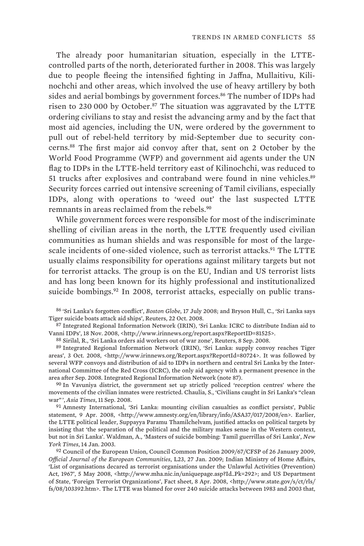The already poor humanitarian situation, especially in the LTTEcontrolled parts of the north, deteriorated further in 2008. This was largely due to people fleeing the intensified fighting in Jaffna, Mullaitivu, Kilinochchi and other areas, which involved the use of heavy artillery by both sides and aerial bombings by government forces.<sup>86</sup> The number of IDPs had risen to 230 000 by October.<sup>87</sup> The situation was aggravated by the LTTE ordering civilians to stay and resist the advancing army and by the fact that most aid agencies, including the UN, were ordered by the government to pull out of rebel-held territory by mid-September due to security concerns.<sup>88</sup> The first major aid convoy after that, sent on 2 October by the World Food Programme (WFP) and government aid agents under the UN flag to IDPs in the LTTE-held territory east of Kilinochchi, was reduced to 51 trucks after explosives and contraband were found in nine vehicles.<sup>89</sup> Security forces carried out intensive screening of Tamil civilians, especially IDPs, along with operations to 'weed out' the last suspected LTTE remnants in areas reclaimed from the rebels.<sup>90</sup>

While government forces were responsible for most of the indiscriminate shelling of civilian areas in the north, the LTTE frequently used civilian communities as human shields and was responsible for most of the largescale incidents of one-sided violence, such as terrorist attacks.<sup>91</sup> The LTTE usually claims responsibility for operations against military targets but not for terrorist attacks. The group is on the EU, Indian and US terrorist lists and has long been known for its highly professional and institutionalized suicide bombings.<sup>92</sup> In 2008, terrorist attacks, especially on public trans-

86 'Sri Lanka's forgotten conflict', *Boston Globe*, 17 July 2008; and Bryson Hull, C., 'Sri Lanka says Tiger suicide boats attack aid ships', Reuters, 22 Oct. 2008.

87 Integrated Regional Information Network (IRIN), 'Sri Lanka: ICRC to distribute Indian aid to Vanni IDPs', 18 Nov. 2008, <http://www.irinnews.org/report.aspx?ReportID=81525>.

88 Sirilal, R., 'Sri Lanka orders aid workers out of war zone', Reuters, 8 Sep. 2008.

89 Integrated Regional Information Network (IRIN), 'Sri Lanka: supply convoy reaches Tiger areas', 3 Oct. 2008, <http://www.irinnews.org/Report.aspx?ReportId=80724>. It was followed by several WFP convoys and distribution of aid to IDPs in northern and central Sri Lanka by the International Committee of the Red Cross (ICRC), the only aid agency with a permanent presence in the area after Sep. 2008. Integrated Regional Information Network (note 87).

<sup>90</sup> In Vavuniya district, the government set up strictly policed 'reception centres' where the movements of the civilian inmates were restricted. Chaulia, S., 'Civilians caught in Sri Lanka's "clean war" ', *Asia Times*, 11 Sep. 2008.

91 Amnesty International, 'Sri Lanka: mounting civilian casualties as conflict persists', Public statement, 9 Apr. 2008, <http://www.amnesty.org/en/library/info/ASA37/017/2008/en>. Earlier, the LTTE political leader, Suppayya Paramu Thamilchelvam, justified attacks on political targets by insisting that 'the separation of the political and the military makes sense in the Western context, but not in Sri Lanka'. Waldman, A., 'Masters of suicide bombing: Tamil guerrillas of Sri Lanka', *New York Times*, 14 Jan. 2003.

92 Council of the European Union, Council Common Position 2009/67/CFSP of 26 January 2009, *Official Journal of the European Communities*, L23, 27 Jan. 2009; Indian Ministry of Home Affairs, 'List of organisations decared as terrorist organisations under the Unlawful Activities (Prevention) Act, 1967', 5 May 2008, <http://www.mha.nic.in/uniquepage.asp?Id\_Pk=292>; and US Department of State, 'Foreign Terrorist Organizations', Fact sheet, 8 Apr. 2008, <http://www.state.gov/s/ct/rls/ fs/08/103392.htm>. The LTTE was blamed for over 240 suicide attacks between 1983 and 2003 that,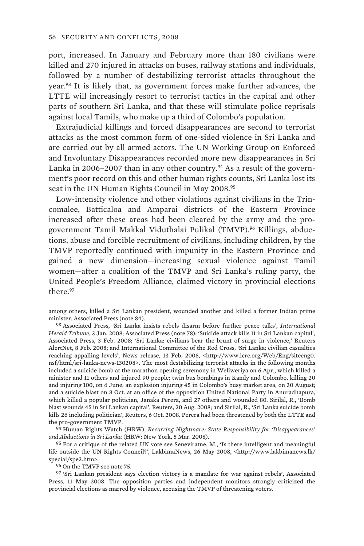port, increased. In January and February more than 180 civilians were killed and 270 injured in attacks on buses, railway stations and individuals, followed by a number of destabilizing terrorist attacks throughout the year.<sup>93</sup> It is likely that, as government forces make further advances, the LTTE will increasingly resort to terrorist tactics in the capital and other parts of southern Sri Lanka, and that these will stimulate police reprisals against local Tamils, who make up a third of Colombo's population.

Extrajudicial killings and forced disappearances are second to terrorist attacks as the most common form of one-sided violence in Sri Lanka and are carried out by all armed actors. The UN Working Group on Enforced and Involuntary Disappearances recorded more new disappearances in Sri Lanka in 2006–2007 than in any other country.<sup>94</sup> As a result of the government's poor record on this and other human rights counts, Sri Lanka lost its seat in the UN Human Rights Council in May 2008.<sup>95</sup>

Low-intensity violence and other violations against civilians in the Trincomalee, Batticaloa and Amparai districts of the Eastern Province increased after these areas had been cleared by the army and the progovernment Tamil Makkal Viduthalai Pulikal (TMVP).96 Killings, abductions, abuse and forcible recruitment of civilians, including children, by the TMVP reportedly continued with impunity in the Eastern Province and gained a new dimension—increasing sexual violence against Tamil women—after a coalition of the TMVP and Sri Lanka's ruling party, the United People's Freedom Alliance, claimed victory in provincial elections there<sup>97</sup>

among others, killed a Sri Lankan president, wounded another and killed a former Indian prime minister. Associated Press (note 84).

93 Associated Press, 'Sri Lanka insists rebels disarm before further peace talks', *International Herald Tribune*, 3 Jan. 2008; Associated Press (note 78); 'Suicide attack kills 11 in Sri Lankan capital', Associated Press, 3 Feb. 2008; 'Sri Lanka: civilians bear the brunt of surge in violence,' Reuters AlertNet, 8 Feb. 2008; and International Committee of the Red Cross, 'Sri Lanka: civilian casualties reaching appalling levels', News release, 13 Feb. 2008, <http://www.icrc.org/Web/Eng/siteeng0. nsf/html/sri-lanka-news-130208>. The most destabilizing terrorist attacks in the following months included a suicide bomb at the marathon opening ceremony in Weliweriya on 6 Apr., which killed a minister and 11 others and injured 90 people; twin bus bombings in Kandy and Colombo, killing 20 and injuring 100, on 6 June; an explosion injuring 45 in Colombo's busy market area, on 30 August; and a suicide blast on 8 Oct. at an office of the opposition United National Party in Anuradhapura, which killed a popular politician, Janaka Perera, and 27 others and wounded 80. Sirilal, R., 'Bomb blast wounds 45 in Sri Lankan capital', Reuters, 20 Aug. 2008; and Sirilal, R., 'Sri Lanka suicide bomb kills 26 including politician', Reuters, 6 Oct. 2008. Perera had been threatened by both the LTTE and the pro-government TMVP.

94 Human Rights Watch (HRW), *Recurring Nightmare: State Responsibility for 'Disappearances' and Abductions in Sri Lanka* (HRW: New York, 5 Mar. 2008).

95 For a critique of the related UN vote see Seneviratne, M., 'Is there intelligent and meaningful life outside the UN Rights Council?', LakbimaNews, 26 May 2008, <http://www.lakbimanews.lk/ special/spe2.htm>.

96 On the TMVP see note 75.

97 'Sri Lankan president says election victory is a mandate for war against rebels', Associated Press, 11 May 2008. The opposition parties and independent monitors strongly criticized the provincial elections as marred by violence, accusing the TMVP of threatening voters.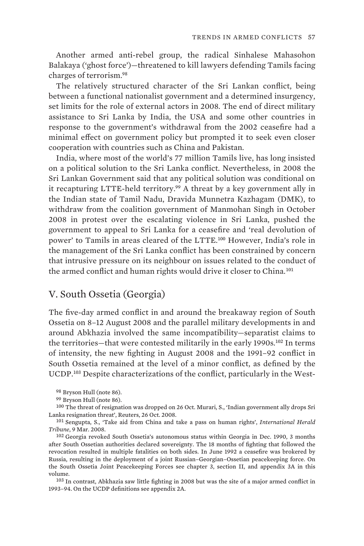Another armed anti-rebel group, the radical Sinhalese Mahasohon Balakaya ('ghost force')—threatened to kill lawyers defending Tamils facing charges of terrorism.<sup>98</sup>

The relatively structured character of the Sri Lankan conflict, being between a functional nationalist government and a determined insurgency, set limits for the role of external actors in 2008. The end of direct military assistance to Sri Lanka by India, the USA and some other countries in response to the government's withdrawal from the 2002 ceasefire had a minimal effect on government policy but prompted it to seek even closer cooperation with countries such as China and Pakistan.

India, where most of the world's 77 million Tamils live, has long insisted on a political solution to the Sri Lanka conflict. Nevertheless, in 2008 the Sri Lankan Government said that any political solution was conditional on it recapturing LTTE-held territory.<sup>99</sup> A threat by a key government ally in the Indian state of Tamil Nadu, Dravida Munnetra Kazhagam (DMK), to withdraw from the coalition government of Manmohan Singh in October 2008 in protest over the escalating violence in Sri Lanka, pushed the government to appeal to Sri Lanka for a ceasefire and 'real devolution of power' to Tamils in areas cleared of the LTTE.<sup>100</sup> However, India's role in the management of the Sri Lanka conflict has been constrained by concern that intrusive pressure on its neighbour on issues related to the conduct of the armed conflict and human rights would drive it closer to China.<sup>101</sup>

# V. South Ossetia (Georgia)

The five-day armed conflict in and around the breakaway region of South Ossetia on 8–12 August 2008 and the parallel military developments in and around Abkhazia involved the same incompatibility—separatist claims to the territories—that were contested militarily in the early 1990s.<sup>102</sup> In terms of intensity, the new fighting in August 2008 and the 1991–92 conflict in South Ossetia remained at the level of a minor conflict, as defined by the UCDP.103 Despite characterizations of the conflict, particularly in the West-

98 Bryson Hull (note 86).

99 Bryson Hull (note 86).

100 The threat of resignation was dropped on 26 Oct. Murari, S., 'Indian government ally drops Sri Lanka resignation threat', Reuters, 26 Oct. 2008.

101 Sengupta, S., 'Take aid from China and take a pass on human rights', *International Herald Tribune*, 9 Mar. 2008.

102 Georgia revoked South Ossetia's autonomous status within Georgia in Dec. 1990, 3 months after South Ossetian authorities declared sovereignty. The 18 months of fighting that followed the revocation resulted in multiple fatalities on both sides. In June 1992 a ceasefire was brokered by Russia, resulting in the deployment of a joint Russian–Georgian–Ossetian peacekeeping force. On the South Ossetia Joint Peacekeeping Forces see chapter 3, section II, and appendix 3A in this volume.

103 In contrast, Abkhazia saw little fighting in 2008 but was the site of a major armed conflict in 1993–94. On the UCDP definitions see appendix 2A.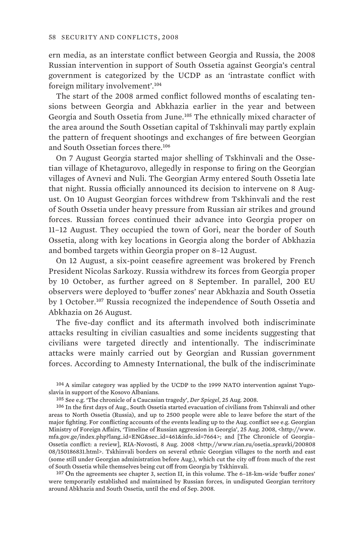ern media, as an interstate conflict between Georgia and Russia, the 2008 Russian intervention in support of South Ossetia against Georgia's central government is categorized by the UCDP as an 'intrastate conflict with foreign military involvement'.<sup>104</sup>

The start of the 2008 armed conflict followed months of escalating tensions between Georgia and Abkhazia earlier in the year and between Georgia and South Ossetia from June.<sup>105</sup> The ethnically mixed character of the area around the South Ossetian capital of Tskhinvali may partly explain the pattern of frequent shootings and exchanges of fire between Georgian and South Ossetian forces there.<sup>106</sup>

On 7 August Georgia started major shelling of Tskhinvali and the Ossetian village of Khetagurovo, allegedly in response to firing on the Georgian villages of Avnevi and Nuli. The Georgian Army entered South Ossetia late that night. Russia officially announced its decision to intervene on 8 August. On 10 August Georgian forces withdrew from Tskhinvali and the rest of South Ossetia under heavy pressure from Russian air strikes and ground forces. Russian forces continued their advance into Georgia proper on 11–12 August. They occupied the town of Gori, near the border of South Ossetia, along with key locations in Georgia along the border of Abkhazia and bombed targets within Georgia proper on 8–12 August.

On 12 August, a six-point ceasefire agreement was brokered by French President Nicolas Sarkozy. Russia withdrew its forces from Georgia proper by 10 October, as further agreed on 8 September. In parallel, 200 EU observers were deployed to 'buffer zones' near Abkhazia and South Ossetia by 1 October.<sup>107</sup> Russia recognized the independence of South Ossetia and Abkhazia on 26 August.

The five-day conflict and its aftermath involved both indiscriminate attacks resulting in civilian casualties and some incidents suggesting that civilians were targeted directly and intentionally. The indiscriminate attacks were mainly carried out by Georgian and Russian government forces. According to Amnesty International, the bulk of the indiscriminate

104 A similar category was applied by the UCDP to the 1999 NATO intervention against Yugoslavia in support of the Kosovo Albanians.

<sup>107</sup> On the agreements see chapter 3, section II, in this volume. The 6–18-km-wide 'buffer zones' were temporarily established and maintained by Russian forces, in undisputed Georgian territory around Abkhazia and South Ossetia, until the end of Sep. 2008.

<sup>105</sup> See e.g. 'The chronicle of a Caucasian tragedy', *Der Spiegel*, 25 Aug. 2008.

<sup>106</sup> In the first days of Aug., South Ossetia started evacuation of civilians from Tshinvali and other areas to North Ossetia (Russia), and up to 2500 people were able to leave before the start of the major fighting. For conflicting accounts of the events leading up to the Aug. conflict see e.g. Georgian Ministry of Foreign Affairs, 'Timeline of Russian aggression in Georgia', 25 Aug. 2008, <http://www. mfa.gov.ge/index.php?lang\_id=ENG&sec\_id=461&info\_id=7664>; and [The Chronicle of Georgia– Ossetia conflict: a review], RIA-Novosti, 8 Aug. 2008 <http://www.rian.ru/osetia\_spravki/200808 08/150186831.html>. Tskhinvali borders on several ethnic Georgian villages to the north and east (some still under Georgian administration before Aug.), which cut the city off from much of the rest of South Ossetia while themselves being cut off from Georgia by Tskhinvali.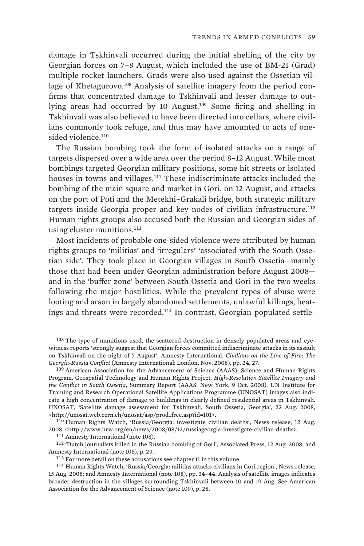damage in Tskhinvali occurred during the initial shelling of the city by Georgian forces on 7–8 August, which included the use of BM-21 (Grad) multiple rocket launchers. Grads were also used against the Ossetian village of Khetagurovo.<sup>108</sup> Analysis of satellite imagery from the period confirms that concentrated damage to Tskhinvali and lesser damage to outlying areas had occurred by 10 August.<sup>109</sup> Some firing and shelling in Tskhinvali was also believed to have been directed into cellars, where civilians commonly took refuge, and thus may have amounted to acts of onesided violence.<sup>110</sup>

The Russian bombing took the form of isolated attacks on a range of targets dispersed over a wide area over the period 8–12 August. While most bombings targeted Georgian military positions, some hit streets or isolated houses in towns and villages.<sup>111</sup> These indiscriminate attacks included the bombing of the main square and market in Gori, on 12 August, and attacks on the port of Poti and the Metekhi–Grakali bridge, both strategic military targets inside Georgia proper and key nodes of civilian infrastructure.<sup>112</sup> Human rights groups also accused both the Russian and Georgian sides of using cluster munitions.<sup>113</sup>

Most incidents of probable one-sided violence were attributed by human rights groups to 'militias' and 'irregulars' 'associated with the South Ossetian side'. They took place in Georgian villages in South Ossetia—mainly those that had been under Georgian administration before August 2008 and in the 'buffer zone' between South Ossetia and Gori in the two weeks following the major hostilities. While the prevalent types of abuse were looting and arson in largely abandoned settlements, unlawful killings, beatings and threats were recorded.114 In contrast, Georgian-populated settle-

109 American Association for the Advancement of Science (AAAS), Science and Human Rights Program, Geospatial Technology and Human Rights Project, *High-Resolution Satellite Imagery and the Conflict in South Ossetia*, Summary Report (AAAS: New York, 9 Oct. 2008). UN Institute for Training and Research Operational Satellite Applications Programme (UNOSAT) images also indicate a high concentration of damage to buildings in clearly defined residential areas in Tskhinvali. UNOSAT, 'Satellite damage assessment for Tskhinvali, South Ossetia, Georgia', 22 Aug. 2008, <http://unosat.web.cern.ch/unosat/asp/prod\_free.asp?id=101>.

110 Human Rights Watch, 'Russia/Georgia: investigate civilian deaths', News release, 12 Aug. 2008, <http://www.hrw.org/en/news/2008/08/12/russiageorgia-investigate-civilian-deaths>.

111 Amnesty International (note 108).

112 'Dutch journalists killed in the Russian bombing of Gori', Associated Press, 12 Aug. 2008; and Amnesty International (note 108), p. 29.

113 For more detail on these accusations see chapter 11 in this volume.

114 Human Rights Watch, 'Russia/Georgia: militias attacks civilians in Gori region', News release, 15 Aug. 2008; and Amnesty International (note 108), pp. 34–44. Analysis of satellite images indicates broader destruction in the villages surrounding Tskhinvali between 10 and 19 Aug. See American Association for the Advancement of Science (note 109), p. 28.

<sup>108</sup> The type of munitions used, the scattered destruction in densely populated areas and eyewitness reports 'strongly suggest that Georgian forces committed indiscriminate attacks in its assault on Tskhinvali on the night of 7 August'. Amnesty International, *Civilians on the Line of Fire: The Georgia-Russia Conflict* (Amnesty International: London, Nov. 2008), pp. 24, 27.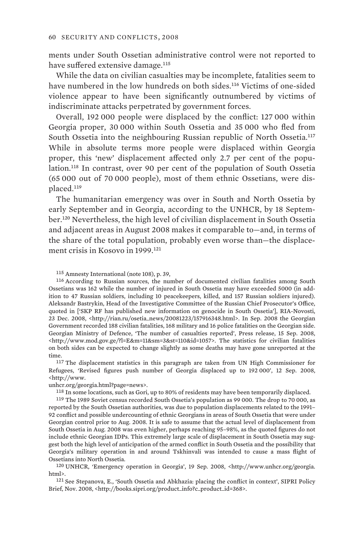ments under South Ossetian administrative control were not reported to have suffered extensive damage.<sup>115</sup>

While the data on civilian casualties may be incomplete, fatalities seem to have numbered in the low hundreds on both sides.<sup>116</sup> Victims of one-sided violence appear to have been significantly outnumbered by victims of indiscriminate attacks perpetrated by government forces.

Overall, 192 000 people were displaced by the conflict: 127 000 within Georgia proper, 30 000 within South Ossetia and 35 000 who fled from South Ossetia into the neighbouring Russian republic of North Ossetia.<sup>117</sup> While in absolute terms more people were displaced within Georgia proper, this 'new' displacement affected only 2.7 per cent of the population.<sup>118</sup> In contrast, over 90 per cent of the population of South Ossetia (65 000 out of 70 000 people), most of them ethnic Ossetians, were displaced.<sup>119</sup>

The humanitarian emergency was over in South and North Ossetia by early September and in Georgia, according to the UNHCR, by 18 September.<sup>120</sup> Nevertheless, the high level of civilian displacement in South Ossetia and adjacent areas in August 2008 makes it comparable to—and, in terms of the share of the total population, probably even worse than—the displacement crisis in Kosovo in 1999.<sup>121</sup>

116 According to Russian sources, the number of documented civilian fatalities among South Ossetians was 162 while the number of injured in South Ossetia may have exceeded 5000 (in addition to 47 Russian soldiers, including 10 peacekeepers, killed, and 157 Russian soldiers injured). Aleksandr Bastrykin, Head of the Investigative Committee of the Russian Chief Prosecutor's Office, quoted in ['SKP RF has published new information on genocide in South Ossetia'], RIA-Novosti, 23 Dec. 2008, <http://rian.ru/osetia\_news/20081223/157916348.html>. In Sep. 2008 the Georgian Government recorded 188 civilian fatalities, 168 military and 16 police fatalities on the Georgian side. Georgian Ministry of Defence, 'The number of casualties reported', Press release, 15 Sep. 2008, <http://www.mod.gov.ge/?l=E&m=11&sm=3&st=110&id=1057>. The statistics for civilian fatalities on both sides can be expected to change slightly as some deaths may have gone unreported at the time.

117 The displacement statistics in this paragraph are taken from UN High Commissioner for Refugees, 'Revised figures push number of Georgia displaced up to 192 000', 12 Sep. 2008, <http://www.

unhcr.org/georgia.html?page=news>.

118 In some locations, such as Gori, up to 80% of residents may have been temporarily displaced.

119 The 1989 Soviet census recorded South Ossetia's population as 99 000. The drop to 70 000, as reported by the South Ossetian authorities, was due to population displacements related to the 1991– 92 conflict and possible undercounting of ethnic Georgians in areas of South Ossetia that were under Georgian control prior to Aug. 2008. It is safe to assume that the actual level of displacement from South Ossetia in Aug. 2008 was even higher, perhaps reaching 95–98%, as the quoted figures do not include ethnic Georgian IDPs. This extremely large scale of displacement in South Ossetia may suggest both the high level of anticipation of the armed conflict in South Ossetia and the possibility that Georgia's military operation in and around Tskhinvali was intended to cause a mass flight of Ossetians into North Ossetia.

120 UNHCR, 'Emergency operation in Georgia', 19 Sep. 2008, <http://www.unhcr.org/georgia. html>.

121 See Stepanova, E., 'South Ossetia and Abkhazia: placing the conflict in context', SIPRI Policy Brief, Nov. 2008, <http://books.sipri.org/product\_info?c\_product\_id=368>.

<sup>115</sup> Amnesty International (note 108), p. 39,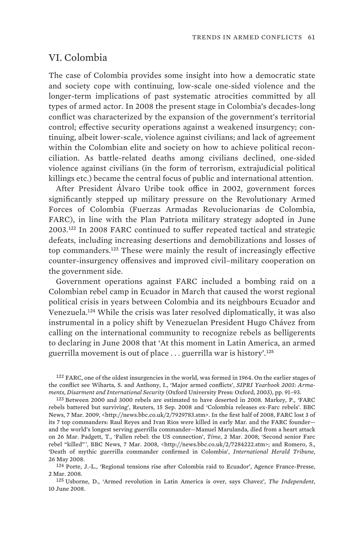# VI. Colombia

The case of Colombia provides some insight into how a democratic state and society cope with continuing, low-scale one-sided violence and the longer-term implications of past systematic atrocities committed by all types of armed actor. In 2008 the present stage in Colombia's decades-long conflict was characterized by the expansion of the government's territorial control; effective security operations against a weakened insurgency; continuing, albeit lower-scale, violence against civilians; and lack of agreement within the Colombian elite and society on how to achieve political reconciliation. As battle-related deaths among civilians declined, one-sided violence against civilians (in the form of terrorism, extrajudicial political killings etc.) became the central focus of public and international attention.

After President Álvaro Uribe took office in 2002, government forces significantly stepped up military pressure on the Revolutionary Armed Forces of Colombia (Fuerzas Armadas Revolucionarias de Colombia, FARC), in line with the Plan Patriota military strategy adopted in June 2003.<sup>122</sup> In 2008 FARC continued to suffer repeated tactical and strategic defeats, including increasing desertions and demobilizations and losses of top commanders.<sup>123</sup> These were mainly the result of increasingly effective counter-insurgency offensives and improved civil–military cooperation on the government side.

Government operations against FARC included a bombing raid on a Colombian rebel camp in Ecuador in March that caused the worst regional political crisis in years between Colombia and its neighbours Ecuador and Venezuela.<sup>124</sup> While the crisis was later resolved diplomatically, it was also instrumental in a policy shift by Venezuelan President Hugo Chávez from calling on the international community to recognize rebels as belligerents to declaring in June 2008 that 'At this moment in Latin America, an armed guerrilla movement is out of place . . . guerrilla war is history'.<sup>125</sup>

122 FARC, one of the oldest insurgencies in the world, was formed in 1964. On the earlier stages of the conflict see Wiharta, S. and Anthony, I., 'Major armed conflicts', *SIPRI Yearbook 2003: Armaments, Disarment and International Security* (Oxford University Press: Oxford, 2003), pp. 91–93.

123 Between 2000 and 3000 rebels are estimated to have deserted in 2008. Markey, P., 'FARC rebels battered but surviving', Reuters, 15 Sep. 2008 and 'Colombia releases ex-Farc rebels'. BBC News, 7 Mar. 2009, <http://news.bbc.co.uk/2/7929783.stm>. In the first half of 2008, FARC lost 3 of its 7 top commanders: Raul Reyes and Ivan Rios were killed in early Mar. and the FARC founder and the world's longest serving guerrilla commander—Manuel Marulanda, died from a heart attack on 26 Mar. Padgett, T., 'Fallen rebel: the US connection', *Time*, 2 Mar. 2008; 'Second senior Farc rebel "killed"', BBC News, 7 Mar. 2008, <http://news.bbc.co.uk/2/7284222.stm>; and Romero, S., 'Death of mythic guerrilla commander confirmed in Colombia', *International Herald Tribune*, 26 May 2008.

124 Porte, J.-L., 'Regional tensions rise after Colombia raid to Ecuador', Agence France-Presse, 2 Mar. 2008.

125 Usborne, D., 'Armed revolution in Latin America is over, says Chavez', *The Independent*, 10 June 2008.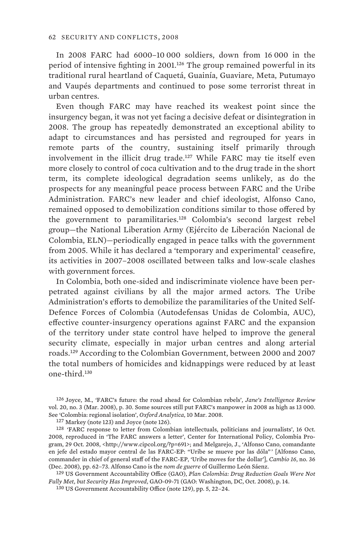In 2008 FARC had 6000–10 000 soldiers, down from 16 000 in the period of intensive fighting in 2001.<sup>126</sup> The group remained powerful in its traditional rural heartland of Caquetá, Guainía, Guaviare, Meta, Putumayo and Vaupés departments and continued to pose some terrorist threat in urban centres.

Even though FARC may have reached its weakest point since the insurgency began, it was not yet facing a decisive defeat or disintegration in 2008. The group has repeatedly demonstrated an exceptional ability to adapt to circumstances and has persisted and regrouped for years in remote parts of the country, sustaining itself primarily through involvement in the illicit drug trade.<sup>127</sup> While FARC may tie itself even more closely to control of coca cultivation and to the drug trade in the short term, its complete ideological degradation seems unlikely, as do the prospects for any meaningful peace process between FARC and the Uribe Administration. FARC's new leader and chief ideologist, Alfonso Cano, remained opposed to demobilization conditions similar to those offered by the government to paramilitaries.<sup>128</sup> Colombia's second largest rebel group—the National Liberation Army (Ejército de Liberación Nacional de Colombia, ELN)—periodically engaged in peace talks with the government from 2005. While it has declared a 'temporary and experimental' ceasefire, its activities in 2007–2008 oscillated between talks and low-scale clashes with government forces.

In Colombia, both one-sided and indiscriminate violence have been perpetrated against civilians by all the major armed actors. The Uribe Administration's efforts to demobilize the paramilitaries of the United Self-Defence Forces of Colombia (Autodefensas Unidas de Colombia, AUC), effective counter-insurgency operations against FARC and the expansion of the territory under state control have helped to improve the general security climate, especially in major urban centres and along arterial roads.<sup>129</sup> According to the Colombian Government, between 2000 and 2007 the total numbers of homicides and kidnappings were reduced by at least one-third.<sup>130</sup>

126 Joyce, M., 'FARC's future: the road ahead for Colombian rebels', *Jane's Intelligence Review* vol. 20, no. 3 (Mar. 2008), p. 30. Some sources still put FARC's manpower in 2008 as high as 13 000. See 'Colombia: regional isolation', *Oxford Analytica*, 10 Mar. 2008.

127 Markey (note 123) and Joyce (note 126).

<sup>128</sup> 'FARC response to letter from Colombian intellectuals, politicians and journalists', 16 Oct. 2008, reproduced in 'The FARC answers a letter', Center for International Policy, Colombia Program, 29 Oct. 2008, <http://www.cipcol.org/?p=691>; and Melgarejo, J., 'Alfonso Cano, comandante en jefe del estado mayor central de las FARC-EP: "Uribe se mueve por las dóla" ' [Alfonso Cano, commander in chief of general staff of the FARC-EP, 'Uribe moves for the dollar'], *Cambio 16*, no. 36 (Dec. 2008), pp. 62–73. Alfonso Cano is the *nom de guerre* of Guillermo León Sáenz.

129 US Government Accountability Office (GAO), *Plan Colombia: Drug Reduction Goals Were Not Fully Met, but Security Has Improved*, GAO-09-71 (GAO: Washington, DC, Oct. 2008), p. 14.

130 US Government Accountability Office (note 129), pp. 5, 22–24.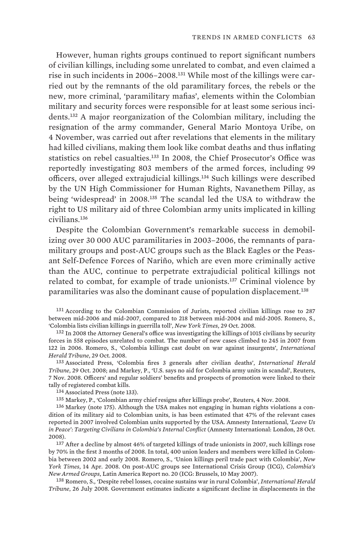However, human rights groups continued to report significant numbers of civilian killings, including some unrelated to combat, and even claimed a rise in such incidents in 2006–2008.131 While most of the killings were carried out by the remnants of the old paramilitary forces, the rebels or the new, more criminal, 'paramilitary mafias', elements within the Colombian military and security forces were responsible for at least some serious incidents.<sup>132</sup> A major reorganization of the Colombian military, including the resignation of the army commander, General Mario Montoya Uribe, on 4 November, was carried out after revelations that elements in the military had killed civilians, making them look like combat deaths and thus inflating statistics on rebel casualties.<sup>133</sup> In 2008, the Chief Prosecutor's Office was reportedly investigating 803 members of the armed forces, including 99 officers, over alleged extrajudicial killings.<sup>134</sup> Such killings were described by the UN High Commissioner for Human Rights, Navanethem Pillay, as being 'widespread' in 2008.<sup>135</sup> The scandal led the USA to withdraw the right to US military aid of three Colombian army units implicated in killing civilians.<sup>136</sup>

Despite the Colombian Government's remarkable success in demobilizing over 30 000 AUC paramilitaries in 2003–2006, the remnants of paramilitary groups and post-AUC groups such as the Black Eagles or the Peasant Self-Defence Forces of Nariño, which are even more criminally active than the AUC, continue to perpetrate extrajudicial political killings not related to combat, for example of trade unionists.<sup>137</sup> Criminal violence by paramilitaries was also the dominant cause of population displacement.<sup>138</sup>

131 According to the Colombian Commission of Jurists, reported civilian killings rose to 287 between mid-2006 and mid-2007, compared to 218 between mid-2004 and mid-2005. Romero, S., 'Colombia lists civilian killings in guerrilla toll', *New York Times*, 29 Oct. 2008.

132 In 2008 the Attorney General's office was investigating the killings of 1015 civilians by security forces in 558 episodes unrelated to combat. The number of new cases climbed to 245 in 2007 from 122 in 2006. Romero, S., 'Colombia killings cast doubt on war against insurgents', *International Herald Tribune*, 29 Oct. 2008.

133 Associated Press, 'Colombia fires 3 generals after civilian deaths', *International Herald Tribune*, 29 Oct. 2008; and Markey, P., 'U.S. says no aid for Colombia army units in scandal', Reuters, 7 Nov. 2008. Officers' and regular soldiers' benefits and prospects of promotion were linked to their tally of registered combat kills.

134 Associated Press (note 133).

135 Markey, P., 'Colombian army chief resigns after killings probe', Reuters, 4 Nov. 2008.

136 Markey (note 175). Although the USA makes not engaging in human rights violations a condition of its military aid to Colombian units, is has been estimated that 47% of the relevant cases reported in 2007 involved Colombian units supported by the USA. Amnesty International, *'Leave Us in Peace': Targeting Civilians in Colombia's Internal Conflict* (Amnesty International: London, 28 Oct. 2008).

137 After a decline by almost 46% of targeted killings of trade unionists in 2007, such killings rose by 70% in the first 3 months of 2008. In total, 400 union leaders and members were killed in Colombia between 2002 and early 2008. Romero, S., 'Union killings peril trade pact with Colombia', *New York Times*, 14 Apr. 2008. On post-AUC groups see International Crisis Group (ICG), *Colombia's New Armed Groups*, Latin America Report no. 20 (ICG: Brussels, 10 May 2007).

138 Romero, S., 'Despite rebel losses, cocaine sustains war in rural Colombia', *International Herald Tribune*, 26 July 2008. Government estimates indicate a significant decline in displacements in the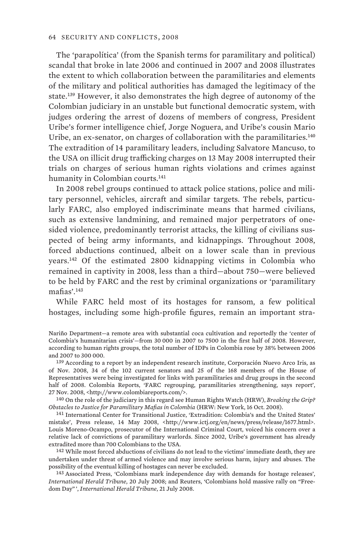The 'parapolítica' (from the Spanish terms for paramilitary and political) scandal that broke in late 2006 and continued in 2007 and 2008 illustrates the extent to which collaboration between the paramilitaries and elements of the military and political authorities has damaged the legitimacy of the state.<sup>139</sup> However, it also demonstrates the high degree of autonomy of the Colombian judiciary in an unstable but functional democratic system, with judges ordering the arrest of dozens of members of congress, President Uribe's former intelligence chief, Jorge Noguera, and Uribe's cousin Mario Uribe, an ex-senator, on charges of collaboration with the paramilitaries.<sup>140</sup> The extradition of 14 paramilitary leaders, including Salvatore Mancuso, to the USA on illicit drug trafficking charges on 13 May 2008 interrupted their trials on charges of serious human rights violations and crimes against humanity in Colombian courts.<sup>141</sup>

In 2008 rebel groups continued to attack police stations, police and military personnel, vehicles, aircraft and similar targets. The rebels, particularly FARC, also employed indiscriminate means that harmed civilians, such as extensive landmining, and remained major perpetrators of onesided violence, predominantly terrorist attacks, the killing of civilians suspected of being army informants, and kidnappings. Throughout 2008, forced abductions continued, albeit on a lower scale than in previous years.<sup>142</sup> Of the estimated 2800 kidnapping victims in Colombia who remained in captivity in 2008, less than a third—about 750—were believed to be held by FARC and the rest by criminal organizations or 'paramilitary mafias'.<sup>143</sup>

While FARC held most of its hostages for ransom, a few political hostages, including some high-profile figures, remain an important stra-

139 According to a report by an independent research institute, Corporación Nuevo Arco Iris, as of Nov. 2008, 34 of the 102 current senators and 25 of the 168 members of the House of Representatives were being investigated for links with paramilitaries and drug groups in the second half of 2008. Colombia Reports, 'FARC regrouping, paramilitaries strengthening, says report', 27 Nov. 2008, <http://www.colombiareports.com/>.

140 On the role of the judiciary in this regard see Human Rights Watch (HRW), *Breaking the Grip? Obstacles to Justice for Paramilitary Mafias in Colombia* (HRW: New York, 16 Oct. 2008).

141 International Center for Transitional Justice, 'Extradition: Colombia's and the United States' mistake', Press release, 14 May 2008, <http://www.ictj.org/en/news/press/release/1677.html>. Louis Moreno-Ocampo, prosecutor of the International Criminal Court, voiced his concern over a relative lack of convictions of paramilitary warlords. Since 2002, Uribe's government has already extradited more than 700 Colombians to the USA.

 $^{142}$  While most forced abductions of civilians do not lead to the victims' immediate death, they are undertaken under threat of armed violence and may involve serious harm, injury and abuses. The possibility of the eventual killing of hostages can never be excluded.

143 Associated Press, 'Colombians mark independence day with demands for hostage releases', *International Herald Tribune*, 20 July 2008; and Reuters, 'Colombians hold massive rally on "Freedom Day" ', *International Herald Tribune*, 21 July 2008.

Nariño Department—a remote area with substantial coca cultivation and reportedly the 'center of Colombia's humanitarian crisis'—from 30 000 in 2007 to 7500 in the first half of 2008. However, according to human rights groups, the total number of IDPs in Colombia rose by 38% between 2006 and 2007 to 300 000.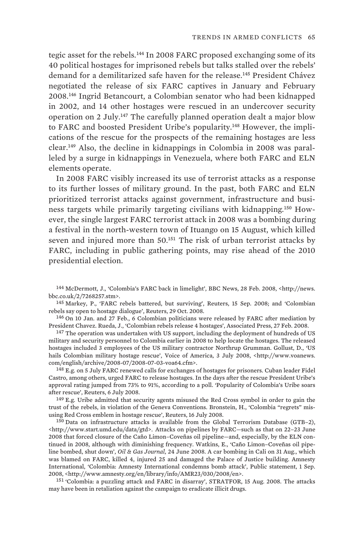tegic asset for the rebels.<sup>144</sup> In 2008 FARC proposed exchanging some of its 40 political hostages for imprisoned rebels but talks stalled over the rebels' demand for a demilitarized safe haven for the release.<sup>145</sup> President Chávez negotiated the release of six FARC captives in January and February 2008.<sup>146</sup> Ingrid Betancourt, a Colombian senator who had been kidnapped in 2002, and 14 other hostages were rescued in an undercover security operation on 2 July.<sup>147</sup> The carefully planned operation dealt a major blow to FARC and boosted President Uribe's popularity.148 However, the implications of the rescue for the prospects of the remaining hostages are less clear.149 Also, the decline in kidnappings in Colombia in 2008 was paralleled by a surge in kidnappings in Venezuela, where both FARC and ELN elements operate.

In 2008 FARC visibly increased its use of terrorist attacks as a response to its further losses of military ground. In the past, both FARC and ELN prioritized terrorist attacks against government, infrastructure and business targets while primarily targeting civilians with kidnapping.150 However, the single largest FARC terrorist attack in 2008 was a bombing during a festival in the north-western town of Ituango on 15 August, which killed seven and injured more than 50.<sup>151</sup> The risk of urban terrorist attacks by FARC, including in public gathering points, may rise ahead of the 2010 presidential election.

144 McDermott, J., 'Colombia's FARC back in limelight', BBC News, 28 Feb. 2008, <http://news. bbc.co.uk/2/7268257.stm>.

145 Markey, P., 'FARC rebels battered, but surviving', Reuters, 15 Sep. 2008; and 'Colombian rebels say open to hostage dialogue', Reuters, 29 Oct. 2008.

146 On 10 Jan. and 27 Feb., 6 Colombian politicians were released by FARC after mediation by President Chavez. Rueda, J., 'Colombian rebels release 4 hostages', Associated Press, 27 Feb. 2008.

147 The operation was undertaken with US support, including the deployment of hundreds of US military and security personnel to Colombia earlier in 2008 to help locate the hostages. The released hostages included 3 employees of the US military contractor Northrup Grumman. Gollust, D., 'US hails Colombian military hostage rescue', Voice of America, 3 July 2008, <http://www.voanews. com/english/archive/2008-07/2008-07-03-voa64.cfm>.

148 E.g. on 5 July FARC renewed calls for exchanges of hostages for prisoners. Cuban leader Fidel Castro, among others, urged FARC to release hostages. In the days after the rescue President Uribe's approval rating jumped from 73% to 91%, according to a poll. 'Popularity of Colombia's Uribe soars after rescue', Reuters, 6 July 2008.

 $149$  E.g. Uribe admitted that security agents misused the Red Cross symbol in order to gain the trust of the rebels, in violation of the Geneva Conventions. Bronstein, H., 'Colombia "regrets" misusing Red Cross emblem in hostage rescue', Reuters, 16 July 2008.

150 Data on infrastructure attacks is available from the Global Terrorism Database (GTB–2), <http://www.start.umd.edu/data/gtd>. Attacks on pipelines by FARC—such as that on 22–23 June 2008 that forced closure of the Caño Limon–Coveñas oil pipeline—and, especially, by the ELN continued in 2008, although with diminishing frequency. Watkins, E., 'Caño Limon–Coveñas oil pipeline bombed, shut down', *Oil & Gas Journal*, 24 June 2008. A car bombing in Cali on 31 Aug., which was blamed on FARC, killed 4, injured 25 and damaged the Palace of Justice building. Amnesty International, 'Colombia: Amnesty International condemns bomb attack', Public statement, 1 Sep. 2008, <http://www.amnesty.org/en/library/info/AMR23/030/2008/en>.

151 'Colombia: a puzzling attack and FARC in disarray', STRATFOR, 15 Aug. 2008. The attacks may have been in retaliation against the campaign to eradicate illicit drugs.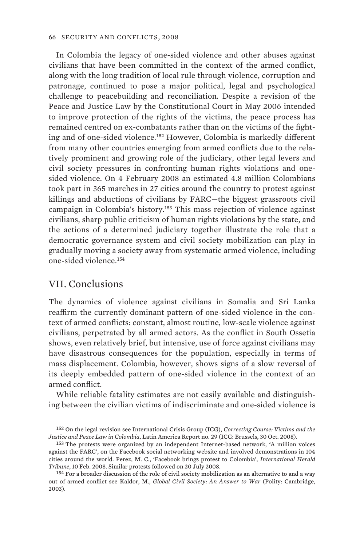In Colombia the legacy of one-sided violence and other abuses against civilians that have been committed in the context of the armed conflict, along with the long tradition of local rule through violence, corruption and patronage, continued to pose a major political, legal and psychological challenge to peacebuilding and reconciliation. Despite a revision of the Peace and Justice Law by the Constitutional Court in May 2006 intended to improve protection of the rights of the victims, the peace process has remained centred on ex-combatants rather than on the victims of the fighting and of one-sided violence.<sup>152</sup> However, Colombia is markedly different from many other countries emerging from armed conflicts due to the relatively prominent and growing role of the judiciary, other legal levers and civil society pressures in confronting human rights violations and onesided violence. On 4 February 2008 an estimated 4.8 million Colombians took part in 365 marches in 27 cities around the country to protest against killings and abductions of civilians by FARC—the biggest grassroots civil campaign in Colombia's history.<sup>153</sup> This mass rejection of violence against civilians, sharp public criticism of human rights violations by the state, and the actions of a determined judiciary together illustrate the role that a democratic governance system and civil society mobilization can play in gradually moving a society away from systematic armed violence, including one-sided violence.<sup>154</sup>

### VII. Conclusions

The dynamics of violence against civilians in Somalia and Sri Lanka reaffirm the currently dominant pattern of one-sided violence in the context of armed conflicts: constant, almost routine, low-scale violence against civilians, perpetrated by all armed actors. As the conflict in South Ossetia shows, even relatively brief, but intensive, use of force against civilians may have disastrous consequences for the population, especially in terms of mass displacement. Colombia, however, shows signs of a slow reversal of its deeply embedded pattern of one-sided violence in the context of an armed conflict.

While reliable fatality estimates are not easily available and distinguishing between the civilian victims of indiscriminate and one-sided violence is

<sup>152</sup> On the legal revision see International Crisis Group (ICG), *Correcting Course: Victims and the Justice and Peace Law in Colombia*, Latin America Report no. 29 (ICG: Brussels, 30 Oct. 2008).

<sup>153</sup> The protests were organized by an independent Internet-based network, 'A million voices against the FARC', on the Facebook social networking website and involved demonstrations in 104 cities around the world. Perez, M. C., 'Facebook brings protest to Colombia', *International Herald Tribune*, 10 Feb. 2008. Similar protests followed on 20 July 2008.

<sup>154</sup> For a broader discussion of the role of civil society mobilization as an alternative to and a way out of armed conflict see Kaldor, M., *Global Civil Society: An Answer to War* (Polity: Cambridge, 2003).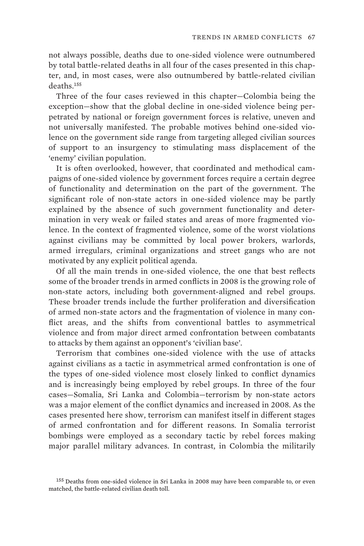not always possible, deaths due to one-sided violence were outnumbered by total battle-related deaths in all four of the cases presented in this chapter, and, in most cases, were also outnumbered by battle-related civilian deaths.<sup>155</sup>

Three of the four cases reviewed in this chapter—Colombia being the exception—show that the global decline in one-sided violence being perpetrated by national or foreign government forces is relative, uneven and not universally manifested. The probable motives behind one-sided violence on the government side range from targeting alleged civilian sources of support to an insurgency to stimulating mass displacement of the 'enemy' civilian population.

It is often overlooked, however, that coordinated and methodical campaigns of one-sided violence by government forces require a certain degree of functionality and determination on the part of the government. The significant role of non-state actors in one-sided violence may be partly explained by the absence of such government functionality and determination in very weak or failed states and areas of more fragmented violence. In the context of fragmented violence, some of the worst violations against civilians may be committed by local power brokers, warlords, armed irregulars, criminal organizations and street gangs who are not motivated by any explicit political agenda.

Of all the main trends in one-sided violence, the one that best reflects some of the broader trends in armed conflicts in 2008 is the growing role of non-state actors, including both government-aligned and rebel groups. These broader trends include the further proliferation and diversification of armed non-state actors and the fragmentation of violence in many conflict areas, and the shifts from conventional battles to asymmetrical violence and from major direct armed confrontation between combatants to attacks by them against an opponent's 'civilian base'.

Terrorism that combines one-sided violence with the use of attacks against civilians as a tactic in asymmetrical armed confrontation is one of the types of one-sided violence most closely linked to conflict dynamics and is increasingly being employed by rebel groups. In three of the four cases—Somalia, Sri Lanka and Colombia—terrorism by non-state actors was a major element of the conflict dynamics and increased in 2008. As the cases presented here show, terrorism can manifest itself in different stages of armed confrontation and for different reasons. In Somalia terrorist bombings were employed as a secondary tactic by rebel forces making major parallel military advances. In contrast, in Colombia the militarily

<sup>155</sup> Deaths from one-sided violence in Sri Lanka in 2008 may have been comparable to, or even matched, the battle-related civilian death toll.